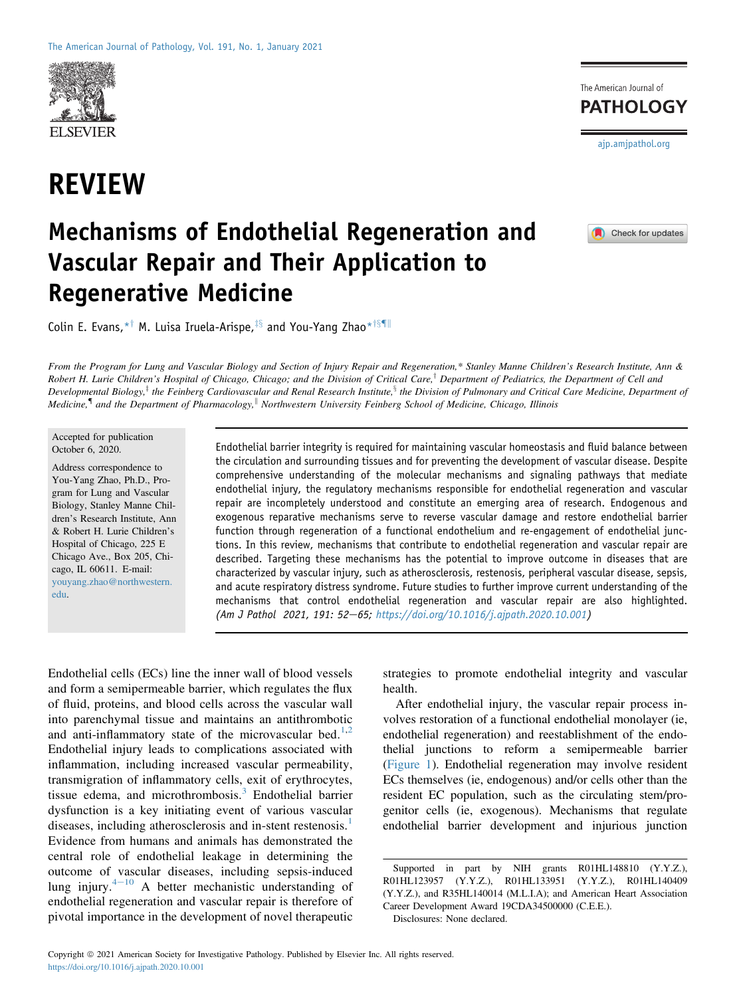

# REVIEW

The American Journal of **PATHOLOGY** [ajp.amjpathol.org](http://ajp.amjpathol.org)

## Mechanisms of Endothelial Regeneration and Vascular Repair and Their Application to Regenerative Medicine



Colin E. Evans,  $*$ <sup>†</sup> M. Luisa Iruela-Arispe,  $*$ <sup>§</sup> and You-Yang Zhao $*$ <sup>†§¶||</sup>

From the Program for Lung and Vascular Biology and Section of Injury Repair and Regeneration,\* Stanley Manne Children's Research Institute, Ann & Robert H. Lurie Children's Hospital of Chicago, Chicago; and the Division of Critical Care,<sup>†</sup> Department of Pediatrics, the Department of Cell and Developmental Biology,<sup>‡</sup> the Feinberg Cardiovascular and Renal Research Institute, <sup>§</sup> the Division of Pulmonary and Critical Care Medicine, Department of Medicine,<sup> $\P$ </sup> and the Department of Pharmacology, Northwestern University Feinberg School of Medicine, Chicago, Illinois

#### Accepted for publication October 6, 2020.

Address correspondence to You-Yang Zhao, Ph.D., Program for Lung and Vascular Biology, Stanley Manne Children's Research Institute, Ann & Robert H. Lurie Children's Hospital of Chicago, 225 E Chicago Ave., Box 205, Chicago, IL 60611. E-mail: [youyang.zhao@northwestern.](mailto:youyang.zhao@northwestern.edu) [edu](mailto:youyang.zhao@northwestern.edu).

Endothelial barrier integrity is required for maintaining vascular homeostasis and fluid balance between the circulation and surrounding tissues and for preventing the development of vascular disease. Despite comprehensive understanding of the molecular mechanisms and signaling pathways that mediate endothelial injury, the regulatory mechanisms responsible for endothelial regeneration and vascular repair are incompletely understood and constitute an emerging area of research. Endogenous and exogenous reparative mechanisms serve to reverse vascular damage and restore endothelial barrier function through regeneration of a functional endothelium and re-engagement of endothelial junctions. In this review, mechanisms that contribute to endothelial regeneration and vascular repair are described. Targeting these mechanisms has the potential to improve outcome in diseases that are characterized by vascular injury, such as atherosclerosis, restenosis, peripheral vascular disease, sepsis, and acute respiratory distress syndrome. Future studies to further improve current understanding of the mechanisms that control endothelial regeneration and vascular repair are also highlighted. (Am J Pathol 2021, 191: 52-65; <https://doi.org/10.1016/j.ajpath.2020.10.001>)

Endothelial cells (ECs) line the inner wall of blood vessels and form a semipermeable barrier, which regulates the flux of fluid, proteins, and blood cells across the vascular wall into parenchymal tissue and maintains an antithrombotic and anti-inflammatory state of the microvascular bed.<sup>[1](#page-10-0)[,2](#page-10-1)</sup> Endothelial injury leads to complications associated with inflammation, including increased vascular permeability, transmigration of inflammatory cells, exit of erythrocytes, tissue edema, and microthrombosis. $3$  Endothelial barrier dysfunction is a key initiating event of various vascular diseases, including atherosclerosis and in-stent restenosis.<sup>[1](#page-10-0)</sup> Evidence from humans and animals has demonstrated the central role of endothelial leakage in determining the outcome of vascular diseases, including sepsis-induced lung injury. $4-10$  $4-10$  $4-10$  A better mechanistic understanding of endothelial regeneration and vascular repair is therefore of pivotal importance in the development of novel therapeutic

strategies to promote endothelial integrity and vascular health.

After endothelial injury, the vascular repair process involves restoration of a functional endothelial monolayer (ie, endothelial regeneration) and reestablishment of the endothelial junctions to reform a semipermeable barrier [\(Figure 1](#page-1-0)). Endothelial regeneration may involve resident ECs themselves (ie, endogenous) and/or cells other than the resident EC population, such as the circulating stem/progenitor cells (ie, exogenous). Mechanisms that regulate endothelial barrier development and injurious junction

Supported in part by NIH grants R01HL148810 (Y.Y.Z.), R01HL123957 (Y.Y.Z.), R01HL133951 (Y.Y.Z.), R01HL140409 (Y.Y.Z.), and R35HL140014 (M.L.I.A); and American Heart Association Career Development Award 19CDA34500000 (C.E.E.).

Disclosures: None declared.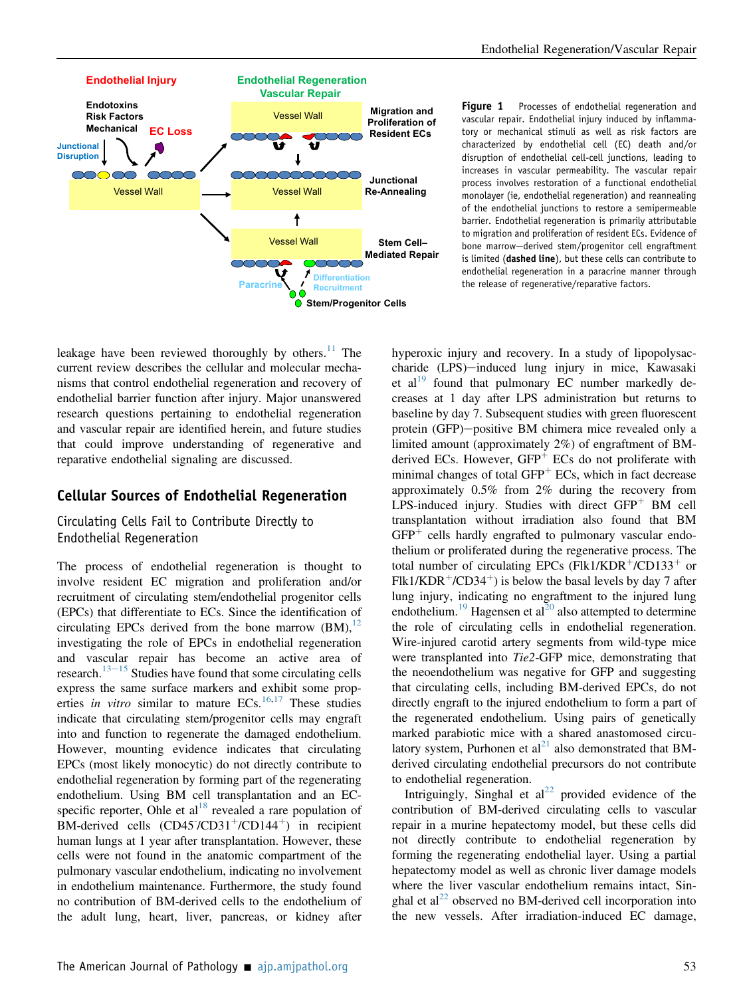<span id="page-1-0"></span>

Figure 1 Processes of endothelial regeneration and vascular repair. Endothelial injury induced by inflammatory or mechanical stimuli as well as risk factors are characterized by endothelial cell (EC) death and/or disruption of endothelial cell-cell junctions, leading to increases in vascular permeability. The vascular repair process involves restoration of a functional endothelial monolayer (ie, endothelial regeneration) and reannealing of the endothelial junctions to restore a semipermeable barrier. Endothelial regeneration is primarily attributable to migration and proliferation of resident ECs. Evidence of bone marrow-derived stem/progenitor cell engraftment is limited (dashed line), but these cells can contribute to endothelial regeneration in a paracrine manner through the release of regenerative/reparative factors.

leakage have been reviewed thoroughly by others. $11$  The current review describes the cellular and molecular mechanisms that control endothelial regeneration and recovery of endothelial barrier function after injury. Major unanswered research questions pertaining to endothelial regeneration and vascular repair are identified herein, and future studies that could improve understanding of regenerative and reparative endothelial signaling are discussed.

## Cellular Sources of Endothelial Regeneration

Circulating Cells Fail to Contribute Directly to Endothelial Regeneration

The process of endothelial regeneration is thought to involve resident EC migration and proliferation and/or recruitment of circulating stem/endothelial progenitor cells (EPCs) that differentiate to ECs. Since the identification of circulating EPCs derived from the bone marrow  $(BM)$ ,  $^{12}$  $^{12}$  $^{12}$ investigating the role of EPCs in endothelial regeneration and vascular repair has become an active area of research. $13-15$  $13-15$  $13-15$  Studies have found that some circulating cells express the same surface markers and exhibit some properties in vitro similar to mature  $ECs$ .<sup>[16,](#page-11-3)[17](#page-11-4)</sup> These studies indicate that circulating stem/progenitor cells may engraft into and function to regenerate the damaged endothelium. However, mounting evidence indicates that circulating EPCs (most likely monocytic) do not directly contribute to endothelial regeneration by forming part of the regenerating endothelium. Using BM cell transplantation and an EC-specific reporter, Ohle et al<sup>[18](#page-11-5)</sup> revealed a rare population of  $\overline{BM}$ -derived cells (CD45<sup>-</sup>/CD31<sup>+</sup>/CD144<sup>+</sup>) in recipient human lungs at 1 year after transplantation. However, these cells were not found in the anatomic compartment of the pulmonary vascular endothelium, indicating no involvement in endothelium maintenance. Furthermore, the study found no contribution of BM-derived cells to the endothelium of the adult lung, heart, liver, pancreas, or kidney after hyperoxic injury and recovery. In a study of lipopolysaccharide (LPS)-induced lung injury in mice, Kawasaki et al $^{19}$  $^{19}$  $^{19}$  found that pulmonary EC number markedly decreases at 1 day after LPS administration but returns to baseline by day 7. Subsequent studies with green fluorescent protein (GFP)-positive BM chimera mice revealed only a limited amount (approximately 2%) of engraftment of BMderived ECs. However,  $GFP^{+}$  ECs do not proliferate with minimal changes of total  $GFP^+$  ECs, which in fact decrease approximately 0.5% from 2% during the recovery from LPS-induced injury. Studies with direct  $GFP<sup>+</sup>$  BM cell transplantation without irradiation also found that BM  $GFP<sup>+</sup>$  cells hardly engrafted to pulmonary vascular endothelium or proliferated during the regenerative process. The total number of circulating EPCs (Flk1/KDR $+$ /CD133 $+$  or Flk1/KDR<sup>+</sup>/CD34<sup>+</sup>) is below the basal levels by day 7 after lung injury, indicating no engraftment to the injured lung endothelium.<sup>[19](#page-11-6)</sup> Hagensen et al<sup>[20](#page-11-7)</sup> also attempted to determine the role of circulating cells in endothelial regeneration. Wire-injured carotid artery segments from wild-type mice were transplanted into Tie2-GFP mice, demonstrating that the neoendothelium was negative for GFP and suggesting that circulating cells, including BM-derived EPCs, do not directly engraft to the injured endothelium to form a part of the regenerated endothelium. Using pairs of genetically marked parabiotic mice with a shared anastomosed circulatory system, Purhonen et  $al<sup>21</sup>$  $al<sup>21</sup>$  $al<sup>21</sup>$  also demonstrated that BMderived circulating endothelial precursors do not contribute to endothelial regeneration.

Intriguingly, Singhal et  $al^{22}$  $al^{22}$  $al^{22}$  provided evidence of the contribution of BM-derived circulating cells to vascular repair in a murine hepatectomy model, but these cells did not directly contribute to endothelial regeneration by forming the regenerating endothelial layer. Using a partial hepatectomy model as well as chronic liver damage models where the liver vascular endothelium remains intact, Singhal et  $al^{22}$  $al^{22}$  $al^{22}$  observed no BM-derived cell incorporation into the new vessels. After irradiation-induced EC damage,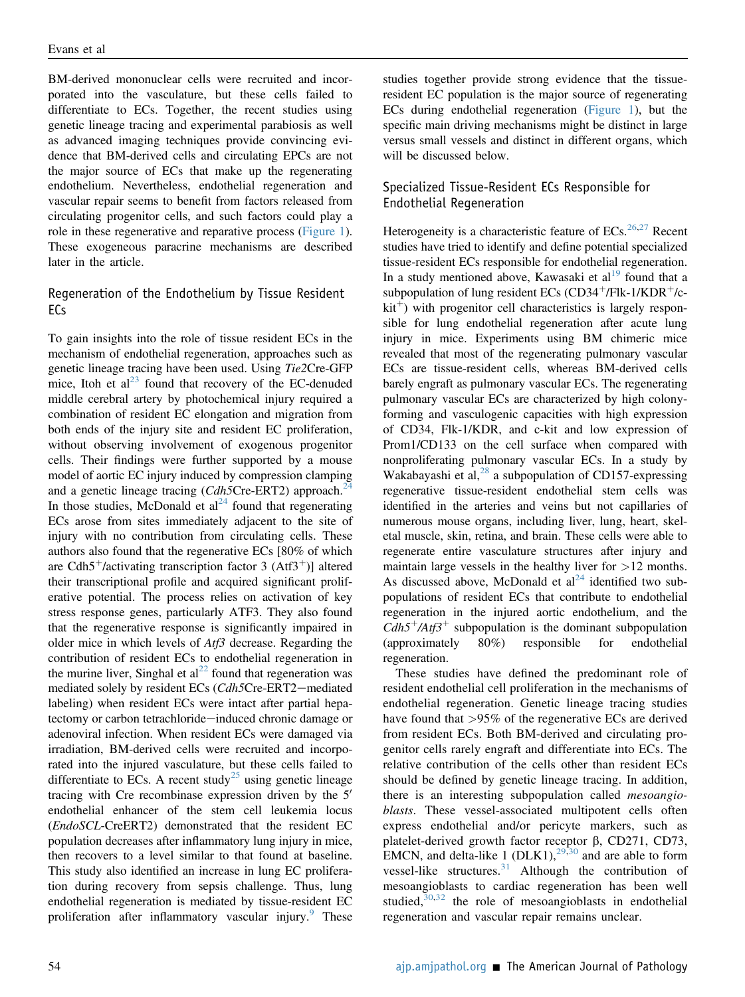BM-derived mononuclear cells were recruited and incorporated into the vasculature, but these cells failed to differentiate to ECs. Together, the recent studies using genetic lineage tracing and experimental parabiosis as well as advanced imaging techniques provide convincing evidence that BM-derived cells and circulating EPCs are not the major source of ECs that make up the regenerating endothelium. Nevertheless, endothelial regeneration and vascular repair seems to benefit from factors released from circulating progenitor cells, and such factors could play a role in these regenerative and reparative process [\(Figure 1](#page-1-0)). These exogeneous paracrine mechanisms are described later in the article.

## Regeneration of the Endothelium by Tissue Resident ECs

To gain insights into the role of tissue resident ECs in the mechanism of endothelial regeneration, approaches such as genetic lineage tracing have been used. Using Tie2Cre-GFP mice, Itoh et  $al^{23}$  $al^{23}$  $al^{23}$  found that recovery of the EC-denuded middle cerebral artery by photochemical injury required a combination of resident EC elongation and migration from both ends of the injury site and resident EC proliferation, without observing involvement of exogenous progenitor cells. Their findings were further supported by a mouse model of aortic EC injury induced by compression clamping and a genetic lineage tracing  $(Cdh5Cre-ERT2)$  approach.<sup>2</sup> In those studies, McDonald et  $al<sup>24</sup>$  $al<sup>24</sup>$  $al<sup>24</sup>$  found that regenerating ECs arose from sites immediately adjacent to the site of injury with no contribution from circulating cells. These authors also found that the regenerative ECs [80% of which are Cdh5<sup>+</sup>/activating transcription factor 3 (Atf3<sup>+</sup>)] altered their transcriptional profile and acquired significant proliferative potential. The process relies on activation of key stress response genes, particularly ATF3. They also found that the regenerative response is significantly impaired in older mice in which levels of Atf3 decrease. Regarding the contribution of resident ECs to endothelial regeneration in the murine liver, Singhal et  $al^{22}$  $al^{22}$  $al^{22}$  found that regeneration was mediated solely by resident ECs (Cdh5Cre-ERT2-mediated labeling) when resident ECs were intact after partial hepatectomy or carbon tetrachloride-induced chronic damage or adenoviral infection. When resident ECs were damaged via irradiation, BM-derived cells were recruited and incorporated into the injured vasculature, but these cells failed to differentiate to ECs. A recent study<sup>[25](#page-11-12)</sup> using genetic lineage tracing with Cre recombinase expression driven by the  $5'$ endothelial enhancer of the stem cell leukemia locus (EndoSCL-CreERT2) demonstrated that the resident EC population decreases after inflammatory lung injury in mice, then recovers to a level similar to that found at baseline. This study also identified an increase in lung EC proliferation during recovery from sepsis challenge. Thus, lung endothelial regeneration is mediated by tissue-resident EC proliferation after inflammatory vascular injury.<sup>[9](#page-10-4)</sup> These

studies together provide strong evidence that the tissueresident EC population is the major source of regenerating ECs during endothelial regeneration ([Figure 1](#page-1-0)), but the specific main driving mechanisms might be distinct in large versus small vessels and distinct in different organs, which will be discussed below.

## Specialized Tissue-Resident ECs Responsible for Endothelial Regeneration

Heterogeneity is a characteristic feature of ECs.<sup>[26](#page-11-13)[,27](#page-11-14)</sup> Recent studies have tried to identify and define potential specialized tissue-resident ECs responsible for endothelial regeneration. In a study mentioned above, Kawasaki et  $al<sup>19</sup>$  $al<sup>19</sup>$  $al<sup>19</sup>$  found that a subpopulation of lung resident ECs (CD34<sup>+</sup>/Flk-1/KDR<sup>+</sup>/c $kit<sup>+</sup>$ ) with progenitor cell characteristics is largely responsible for lung endothelial regeneration after acute lung injury in mice. Experiments using BM chimeric mice revealed that most of the regenerating pulmonary vascular ECs are tissue-resident cells, whereas BM-derived cells barely engraft as pulmonary vascular ECs. The regenerating pulmonary vascular ECs are characterized by high colonyforming and vasculogenic capacities with high expression of CD34, Flk-1/KDR, and c-kit and low expression of Prom1/CD133 on the cell surface when compared with nonproliferating pulmonary vascular ECs. In a study by Wakabayashi et al,  $^{28}$  $^{28}$  $^{28}$  a subpopulation of CD157-expressing regenerative tissue-resident endothelial stem cells was identified in the arteries and veins but not capillaries of numerous mouse organs, including liver, lung, heart, skeletal muscle, skin, retina, and brain. These cells were able to regenerate entire vasculature structures after injury and maintain large vessels in the healthy liver for >12 months. As discussed above, McDonald et  $al<sup>24</sup>$  $al<sup>24</sup>$  $al<sup>24</sup>$  identified two subpopulations of resident ECs that contribute to endothelial regeneration in the injured aortic endothelium, and the  $Cdh5^{+}/Atf3^{+}$  subpopulation is the dominant subpopulation (approximately 80%) responsible for endothelial regeneration.

These studies have defined the predominant role of resident endothelial cell proliferation in the mechanisms of endothelial regeneration. Genetic lineage tracing studies have found that >95% of the regenerative ECs are derived from resident ECs. Both BM-derived and circulating progenitor cells rarely engraft and differentiate into ECs. The relative contribution of the cells other than resident ECs should be defined by genetic lineage tracing. In addition, there is an interesting subpopulation called mesoangioblasts. These vessel-associated multipotent cells often express endothelial and/or pericyte markers, such as platelet-derived growth factor receptor  $\beta$ , CD271, CD73, EMCN, and delta-like 1 (DLK1), $^{29,30}$  $^{29,30}$  $^{29,30}$  $^{29,30}$  and are able to form vessel-like structures. $31$  Although the contribution of mesoangioblasts to cardiac regeneration has been well studied, $30,32$  $30,32$  the role of mesoangioblasts in endothelial regeneration and vascular repair remains unclear.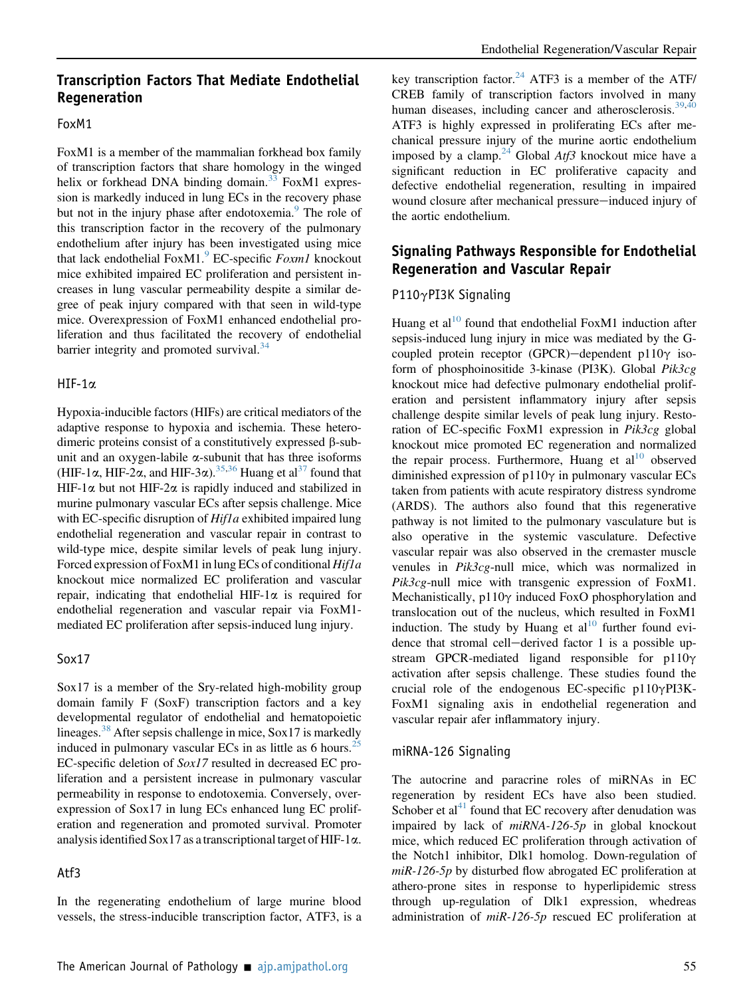## Transcription Factors That Mediate Endothelial Regeneration

#### FoxM1

FoxM1 is a member of the mammalian forkhead box family of transcription factors that share homology in the winged helix or forkhead DNA binding domain.<sup>[33](#page-11-20)</sup> FoxM1 expression is markedly induced in lung ECs in the recovery phase but not in the injury phase after endotoxemia.<sup>[9](#page-10-4)</sup> The role of this transcription factor in the recovery of the pulmonary endothelium after injury has been investigated using mice that lack endothelial FoxM1. $^{9}$  $^{9}$  $^{9}$  EC-specific *Foxm1* knockout mice exhibited impaired EC proliferation and persistent increases in lung vascular permeability despite a similar degree of peak injury compared with that seen in wild-type mice. Overexpression of FoxM1 enhanced endothelial proliferation and thus facilitated the recovery of endothelial barrier integrity and promoted survival. $34$ 

#### $HIF-1\alpha$

Hypoxia-inducible factors (HIFs) are critical mediators of the adaptive response to hypoxia and ischemia. These heterodimeric proteins consist of a constitutively expressed  $\beta$ -subunit and an oxygen-labile  $\alpha$ -subunit that has three isoforms (HIF-1 $\alpha$ , HIF-2 $\alpha$ , and HIF-3 $\alpha$ ).<sup>[35,](#page-11-22)[36](#page-11-23)</sup> Huang et al<sup>[37](#page-11-24)</sup> found that HIF-1 $\alpha$  but not HIF-2 $\alpha$  is rapidly induced and stabilized in murine pulmonary vascular ECs after sepsis challenge. Mice with EC-specific disruption of *Hif1a* exhibited impaired lung endothelial regeneration and vascular repair in contrast to wild-type mice, despite similar levels of peak lung injury. Forced expression of FoxM1 in lung ECs of conditional *Hif1a* knockout mice normalized EC proliferation and vascular repair, indicating that endothelial HIF-1 $\alpha$  is required for endothelial regeneration and vascular repair via FoxM1 mediated EC proliferation after sepsis-induced lung injury.

#### Sox17

Sox17 is a member of the Sry-related high-mobility group domain family F (SoxF) transcription factors and a key developmental regulator of endothelial and hematopoietic lineages.<sup>[38](#page-11-25)</sup> After sepsis challenge in mice, Sox17 is markedly induced in pulmonary vascular ECs in as little as 6 hours.<sup>[25](#page-11-12)</sup> EC-specific deletion of Sox17 resulted in decreased EC proliferation and a persistent increase in pulmonary vascular permeability in response to endotoxemia. Conversely, overexpression of Sox17 in lung ECs enhanced lung EC proliferation and regeneration and promoted survival. Promoter analysis identified  $Sox17$  as a transcriptional target of HIF-1 $\alpha$ .

#### Atf3

In the regenerating endothelium of large murine blood vessels, the stress-inducible transcription factor, ATF3, is a

key transcription factor.<sup>[24](#page-11-11)</sup> ATF3 is a member of the ATF/ CREB family of transcription factors involved in many human diseases, including cancer and atherosclerosis.<sup>[39](#page-11-26)[,40](#page-11-27)</sup> ATF3 is highly expressed in proliferating ECs after mechanical pressure injury of the murine aortic endothelium imposed by a clamp.<sup>[24](#page-11-11)</sup> Global Atf3 knockout mice have a significant reduction in EC proliferative capacity and defective endothelial regeneration, resulting in impaired wound closure after mechanical pressure-induced injury of the aortic endothelium.

## Signaling Pathways Responsible for Endothelial Regeneration and Vascular Repair

## P110 $\gamma$ PI3K Signaling

Huang et al<sup>[10](#page-10-5)</sup> found that endothelial FoxM1 induction after sepsis-induced lung injury in mice was mediated by the Gcoupled protein receptor (GPCR)-dependent p110 $\gamma$  isoform of phosphoinositide 3-kinase (PI3K). Global Pik3cg knockout mice had defective pulmonary endothelial proliferation and persistent inflammatory injury after sepsis challenge despite similar levels of peak lung injury. Restoration of EC-specific FoxM1 expression in Pik3cg global knockout mice promoted EC regeneration and normalized the repair process. Furthermore, Huang et al<sup>[10](#page-10-5)</sup> observed diminished expression of  $p110\gamma$  in pulmonary vascular ECs taken from patients with acute respiratory distress syndrome (ARDS). The authors also found that this regenerative pathway is not limited to the pulmonary vasculature but is also operative in the systemic vasculature. Defective vascular repair was also observed in the cremaster muscle venules in Pik3cg-null mice, which was normalized in  $Pik3cg$ -null mice with transgenic expression of FoxM1. Mechanistically,  $p110\gamma$  induced FoxO phosphorylation and translocation out of the nucleus, which resulted in FoxM1 induction. The study by Huang et al<sup>[10](#page-10-5)</sup> further found evidence that stromal cell-derived factor  $1$  is a possible upstream GPCR-mediated ligand responsible for  $p110\gamma$ activation after sepsis challenge. These studies found the crucial role of the endogenous EC-specific  $p110\gamma$ PI3K-FoxM1 signaling axis in endothelial regeneration and vascular repair afer inflammatory injury.

#### miRNA-126 Signaling

The autocrine and paracrine roles of miRNAs in EC regeneration by resident ECs have also been studied. Schober et al $^{41}$  $^{41}$  $^{41}$  found that EC recovery after denudation was impaired by lack of  $miRNA-126-5p$  in global knockout mice, which reduced EC proliferation through activation of the Notch1 inhibitor, Dlk1 homolog. Down-regulation of  $miR-126-5p$  by disturbed flow abrogated EC proliferation at athero-prone sites in response to hyperlipidemic stress through up-regulation of Dlk1 expression, whedreas administration of  $miR-126-5p$  rescued EC proliferation at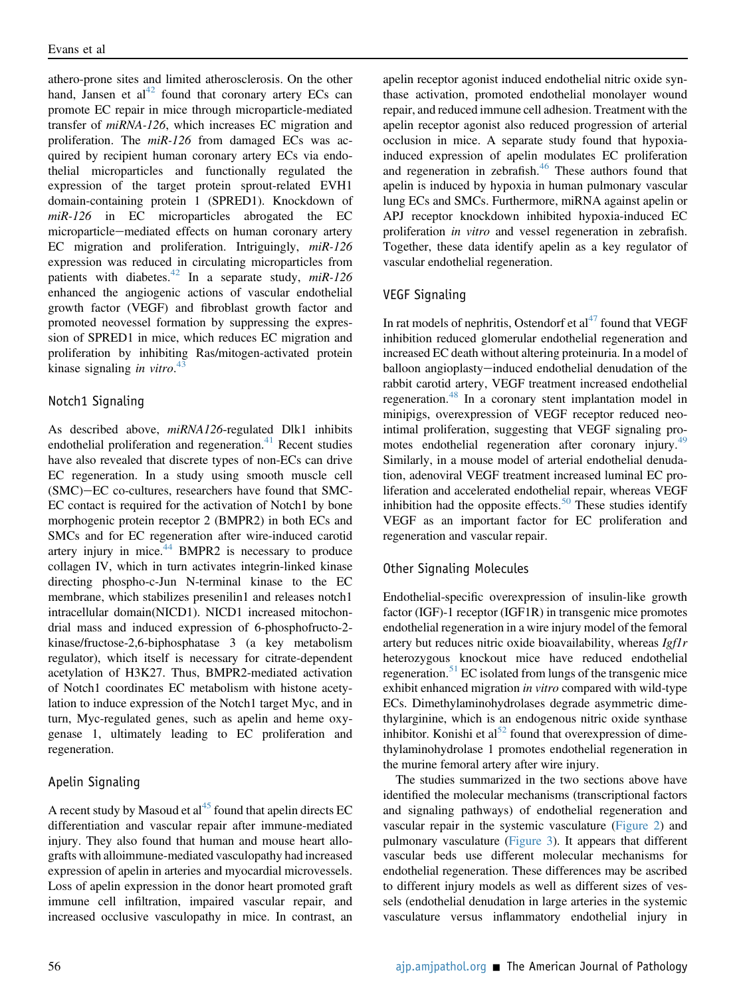athero-prone sites and limited atherosclerosis. On the other hand, Jansen et  $al<sup>42</sup>$  $al<sup>42</sup>$  $al<sup>42</sup>$  found that coronary artery ECs can promote EC repair in mice through microparticle-mediated transfer of miRNA-126, which increases EC migration and proliferation. The  $miR-126$  from damaged ECs was acquired by recipient human coronary artery ECs via endothelial microparticles and functionally regulated the expression of the target protein sprout-related EVH1 domain-containing protein 1 (SPRED1). Knockdown of miR-126 in EC microparticles abrogated the EC microparticle-mediated effects on human coronary artery EC migration and proliferation. Intriguingly, miR-126 expression was reduced in circulating microparticles from patients with diabetes.<sup>[42](#page-11-29)</sup> In a separate study,  $miR-126$ enhanced the angiogenic actions of vascular endothelial growth factor (VEGF) and fibroblast growth factor and promoted neovessel formation by suppressing the expression of SPRED1 in mice, which reduces EC migration and proliferation by inhibiting Ras/mitogen-activated protein kinase signaling *in vitro*. $43$ 

## Notch1 Signaling

As described above, miRNA126-regulated Dlk1 inhibits endothelial proliferation and regeneration. $41$  Recent studies have also revealed that discrete types of non-ECs can drive EC regeneration. In a study using smooth muscle cell (SMC)-EC co-cultures, researchers have found that SMC-EC contact is required for the activation of Notch1 by bone morphogenic protein receptor 2 (BMPR2) in both ECs and SMCs and for EC regeneration after wire-induced carotid artery injury in mice.<sup>[44](#page-12-1)</sup> BMPR2 is necessary to produce collagen IV, which in turn activates integrin-linked kinase directing phospho-c-Jun N-terminal kinase to the EC membrane, which stabilizes presenilin1 and releases notch1 intracellular domain(NICD1). NICD1 increased mitochondrial mass and induced expression of 6-phosphofructo-2 kinase/fructose-2,6-biphosphatase 3 (a key metabolism regulator), which itself is necessary for citrate-dependent acetylation of H3K27. Thus, BMPR2-mediated activation of Notch1 coordinates EC metabolism with histone acetylation to induce expression of the Notch1 target Myc, and in turn, Myc-regulated genes, such as apelin and heme oxygenase 1, ultimately leading to EC proliferation and regeneration.

## Apelin Signaling

A recent study by Masoud et  $al<sup>45</sup>$  $al<sup>45</sup>$  $al<sup>45</sup>$  found that apelin directs EC differentiation and vascular repair after immune-mediated injury. They also found that human and mouse heart allografts with alloimmune-mediated vasculopathy had increased expression of apelin in arteries and myocardial microvessels. Loss of apelin expression in the donor heart promoted graft immune cell infiltration, impaired vascular repair, and increased occlusive vasculopathy in mice. In contrast, an

apelin receptor agonist induced endothelial nitric oxide synthase activation, promoted endothelial monolayer wound repair, and reduced immune cell adhesion. Treatment with the apelin receptor agonist also reduced progression of arterial occlusion in mice. A separate study found that hypoxiainduced expression of apelin modulates EC proliferation and regeneration in zebrafish. $46$  These authors found that apelin is induced by hypoxia in human pulmonary vascular lung ECs and SMCs. Furthermore, miRNA against apelin or APJ receptor knockdown inhibited hypoxia-induced EC proliferation in vitro and vessel regeneration in zebrafish. Together, these data identify apelin as a key regulator of vascular endothelial regeneration.

## VEGF Signaling

In rat models of nephritis, Ostendorf et  $al<sup>47</sup>$  $al<sup>47</sup>$  $al<sup>47</sup>$  found that VEGF inhibition reduced glomerular endothelial regeneration and increased EC death without altering proteinuria. In a model of balloon angioplasty—induced endothelial denudation of the rabbit carotid artery, VEGF treatment increased endothelial regeneration.[48](#page-12-5) In a coronary stent implantation model in minipigs, overexpression of VEGF receptor reduced neointimal proliferation, suggesting that VEGF signaling pro-motes endothelial regeneration after coronary injury.<sup>[49](#page-12-6)</sup> Similarly, in a mouse model of arterial endothelial denudation, adenoviral VEGF treatment increased luminal EC proliferation and accelerated endothelial repair, whereas VEGF inhibition had the opposite effects. $50$  These studies identify VEGF as an important factor for EC proliferation and regeneration and vascular repair.

## Other Signaling Molecules

Endothelial-specific overexpression of insulin-like growth factor (IGF)-1 receptor (IGF1R) in transgenic mice promotes endothelial regeneration in a wire injury model of the femoral artery but reduces nitric oxide bioavailability, whereas Igf1r heterozygous knockout mice have reduced endothelial regeneration.<sup>[51](#page-12-8)</sup> EC isolated from lungs of the transgenic mice exhibit enhanced migration in vitro compared with wild-type ECs. Dimethylaminohydrolases degrade asymmetric dimethylarginine, which is an endogenous nitric oxide synthase inhibitor. Konishi et  $al<sup>52</sup>$  $al<sup>52</sup>$  $al<sup>52</sup>$  found that overexpression of dimethylaminohydrolase 1 promotes endothelial regeneration in the murine femoral artery after wire injury.

The studies summarized in the two sections above have identified the molecular mechanisms (transcriptional factors and signaling pathways) of endothelial regeneration and vascular repair in the systemic vasculature [\(Figure 2](#page-5-0)) and pulmonary vasculature ([Figure 3](#page-6-0)). It appears that different vascular beds use different molecular mechanisms for endothelial regeneration. These differences may be ascribed to different injury models as well as different sizes of vessels (endothelial denudation in large arteries in the systemic vasculature versus inflammatory endothelial injury in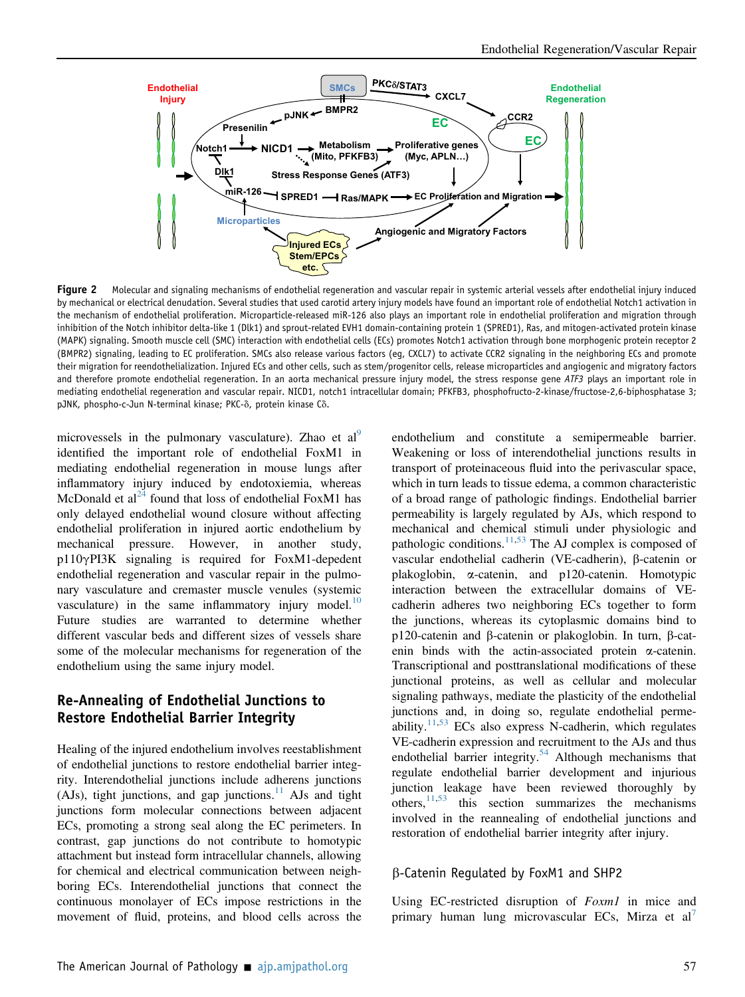<span id="page-5-0"></span>

Figure 2 Molecular and signaling mechanisms of endothelial regeneration and vascular repair in systemic arterial vessels after endothelial injury induced by mechanical or electrical denudation. Several studies that used carotid artery injury models have found an important role of endothelial Notch1 activation in the mechanism of endothelial proliferation. Microparticle-released miR-126 also plays an important role in endothelial proliferation and migration through inhibition of the Notch inhibitor delta-like 1 (Dlk1) and sprout-related EVH1 domain-containing protein 1 (SPRED1), Ras, and mitogen-activated protein kinase (MAPK) signaling. Smooth muscle cell (SMC) interaction with endothelial cells (ECs) promotes Notch1 activation through bone morphogenic protein receptor 2 (BMPR2) signaling, leading to EC proliferation. SMCs also release various factors (eg, CXCL7) to activate CCR2 signaling in the neighboring ECs and promote their migration for reendothelialization. Injured ECs and other cells, such as stem/progenitor cells, release microparticles and angiogenic and migratory factors and therefore promote endothelial regeneration. In an aorta mechanical pressure injury model, the stress response gene  $ATF3$  plays an important role in mediating endothelial regeneration and vascular repair. NICD1, notch1 intracellular domain; PFKFB3, phosphofructo-2-kinase/fructose-2,6-biphosphatase 3; pJNK, phospho-c-Jun N-terminal kinase; PKC- $\delta$ , protein kinase C $\delta$ .

microvessels in the pulmonary vasculature). Zhao et al identified the important role of endothelial FoxM1 in mediating endothelial regeneration in mouse lungs after inflammatory injury induced by endotoxiemia, whereas McDonald et al<sup>[24](#page-11-11)</sup> found that loss of endothelial FoxM1 has only delayed endothelial wound closure without affecting endothelial proliferation in injured aortic endothelium by mechanical pressure. However, in another study, p110gPI3K signaling is required for FoxM1-depedent endothelial regeneration and vascular repair in the pulmonary vasculature and cremaster muscle venules (systemic vasculature) in the same inflammatory injury model.<sup>[10](#page-10-5)</sup> Future studies are warranted to determine whether different vascular beds and different sizes of vessels share some of the molecular mechanisms for regeneration of the endothelium using the same injury model.

## Re-Annealing of Endothelial Junctions to Restore Endothelial Barrier Integrity

Healing of the injured endothelium involves reestablishment of endothelial junctions to restore endothelial barrier integrity. Interendothelial junctions include adherens junctions (AJs), tight junctions, and gap junctions.<sup>[11](#page-11-0)</sup> AJs and tight junctions form molecular connections between adjacent ECs, promoting a strong seal along the EC perimeters. In contrast, gap junctions do not contribute to homotypic attachment but instead form intracellular channels, allowing for chemical and electrical communication between neighboring ECs. Interendothelial junctions that connect the continuous monolayer of ECs impose restrictions in the movement of fluid, proteins, and blood cells across the

endothelium and constitute a semipermeable barrier. Weakening or loss of interendothelial junctions results in transport of proteinaceous fluid into the perivascular space, which in turn leads to tissue edema, a common characteristic of a broad range of pathologic findings. Endothelial barrier permeability is largely regulated by AJs, which respond to mechanical and chemical stimuli under physiologic and pathologic conditions.<sup>[11,](#page-11-0)[53](#page-12-10)</sup> The AJ complex is composed of vascular endothelial cadherin (VE-cadherin), β-catenin or plakoglobin, a-catenin, and p120-catenin. Homotypic interaction between the extracellular domains of VEcadherin adheres two neighboring ECs together to form the junctions, whereas its cytoplasmic domains bind to p120-catenin and  $\beta$ -catenin or plakoglobin. In turn,  $\beta$ -catenin binds with the actin-associated protein  $\alpha$ -catenin. Transcriptional and posttranslational modifications of these junctional proteins, as well as cellular and molecular signaling pathways, mediate the plasticity of the endothelial junctions and, in doing so, regulate endothelial permeability. $11,53$  $11,53$  ECs also express N-cadherin, which regulates VE-cadherin expression and recruitment to the AJs and thus endothelial barrier integrity. $54$  Although mechanisms that regulate endothelial barrier development and injurious junction leakage have been reviewed thoroughly by others, $\frac{11,53}{ }$  $\frac{11,53}{ }$  $\frac{11,53}{ }$  $\frac{11,53}{ }$  this section summarizes the mechanisms involved in the reannealing of endothelial junctions and restoration of endothelial barrier integrity after injury.

#### b-Catenin Regulated by FoxM1 and SHP2

Using EC-restricted disruption of Foxm1 in mice and primary human lung microvascular ECs, Mirza et al'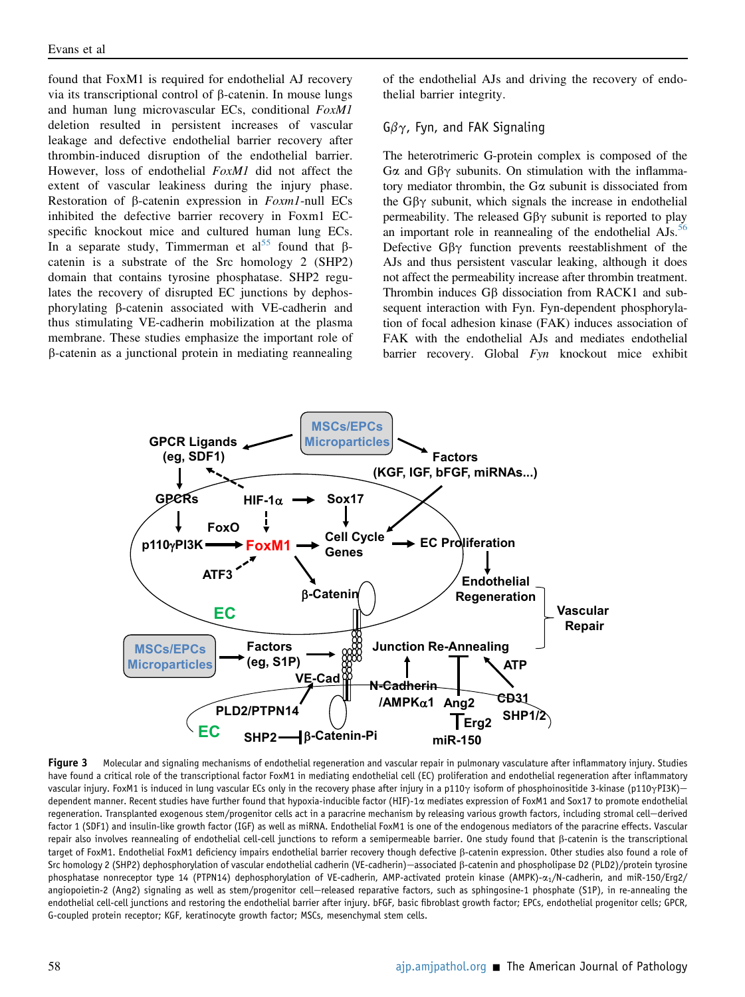found that FoxM1 is required for endothelial AJ recovery via its transcriptional control of  $\beta$ -catenin. In mouse lungs and human lung microvascular ECs, conditional FoxM1 deletion resulted in persistent increases of vascular leakage and defective endothelial barrier recovery after thrombin-induced disruption of the endothelial barrier. However, loss of endothelial FoxM1 did not affect the extent of vascular leakiness during the injury phase. Restoration of  $\beta$ -catenin expression in *Foxm1*-null ECs inhibited the defective barrier recovery in Foxm1 ECspecific knockout mice and cultured human lung ECs. In a separate study, Timmerman et al<sup>[55](#page-12-12)</sup> found that  $\beta$ catenin is a substrate of the Src homology 2 (SHP2) domain that contains tyrosine phosphatase. SHP2 regulates the recovery of disrupted EC junctions by dephosphorylating b-catenin associated with VE-cadherin and thus stimulating VE-cadherin mobilization at the plasma membrane. These studies emphasize the important role of b-catenin as a junctional protein in mediating reannealing

of the endothelial AJs and driving the recovery of endothelial barrier integrity.

## $G\beta\gamma$ , Fyn, and FAK Signaling

The heterotrimeric G-protein complex is composed of the G $\alpha$  and G $\beta\gamma$  subunits. On stimulation with the inflammatory mediator thrombin, the Ga subunit is dissociated from the  $G\beta\gamma$  subunit, which signals the increase in endothelial permeability. The released  $G\beta\gamma$  subunit is reported to play an important role in reannealing of the endothelial AJs.<sup>[56](#page-12-13)</sup> Defective  $G\beta\gamma$  function prevents reestablishment of the AJs and thus persistent vascular leaking, although it does not affect the permeability increase after thrombin treatment. Thrombin induces  $G\beta$  dissociation from RACK1 and subsequent interaction with Fyn. Fyn-dependent phosphorylation of focal adhesion kinase (FAK) induces association of FAK with the endothelial AJs and mediates endothelial barrier recovery. Global Fyn knockout mice exhibit

<span id="page-6-0"></span>

Figure 3 Molecular and signaling mechanisms of endothelial regeneration and vascular repair in pulmonary vasculature after inflammatory injury. Studies have found a critical role of the transcriptional factor FoxM1 in mediating endothelial cell (EC) proliferation and endothelial regeneration after inflammatory vascular injury. FoxM1 is induced in lung vascular ECs only in the recovery phase after injury in a p110 $\gamma$  isoform of phosphoinositide 3-kinase (p110 $\gamma$ PI3K)dependent manner. Recent studies have further found that hypoxia-inducible factor (HIF)-1 $\alpha$  mediates expression of FoxM1 and Sox17 to promote endothelial regeneration. Transplanted exogenous stem/progenitor cells act in a paracrine mechanism by releasing various growth factors, including stromal cell—derived factor 1 (SDF1) and insulin-like growth factor (IGF) as well as miRNA. Endothelial FoxM1 is one of the endogenous mediators of the paracrine effects. Vascular repair also involves reannealing of endothelial cell-cell junctions to reform a semipermeable barrier. One study found that β-catenin is the transcriptional target of FoxM1. Endothelial FoxM1 deficiency impairs endothelial barrier recovery though defective b-catenin expression. Other studies also found a role of Src homology 2 (SHP2) dephosphorylation of vascular endothelial cadherin (VE-cadherin)—associated ß-catenin and phospholipase D2 (PLD2)/protein tyrosine phosphatase nonreceptor type 14 (PTPN14) dephosphorylation of VE-cadherin, AMP-activated protein kinase (AMPK)- $\alpha_1$ /N-cadherin, and miR-150/Erg2/ angiopoietin-2 (Ang2) signaling as well as stem/progenitor cell-released reparative factors, such as sphingosine-1 phosphate (S1P), in re-annealing the endothelial cell-cell junctions and restoring the endothelial barrier after injury. bFGF, basic fibroblast growth factor; EPCs, endothelial progenitor cells; GPCR, G-coupled protein receptor; KGF, keratinocyte growth factor; MSCs, mesenchymal stem cells.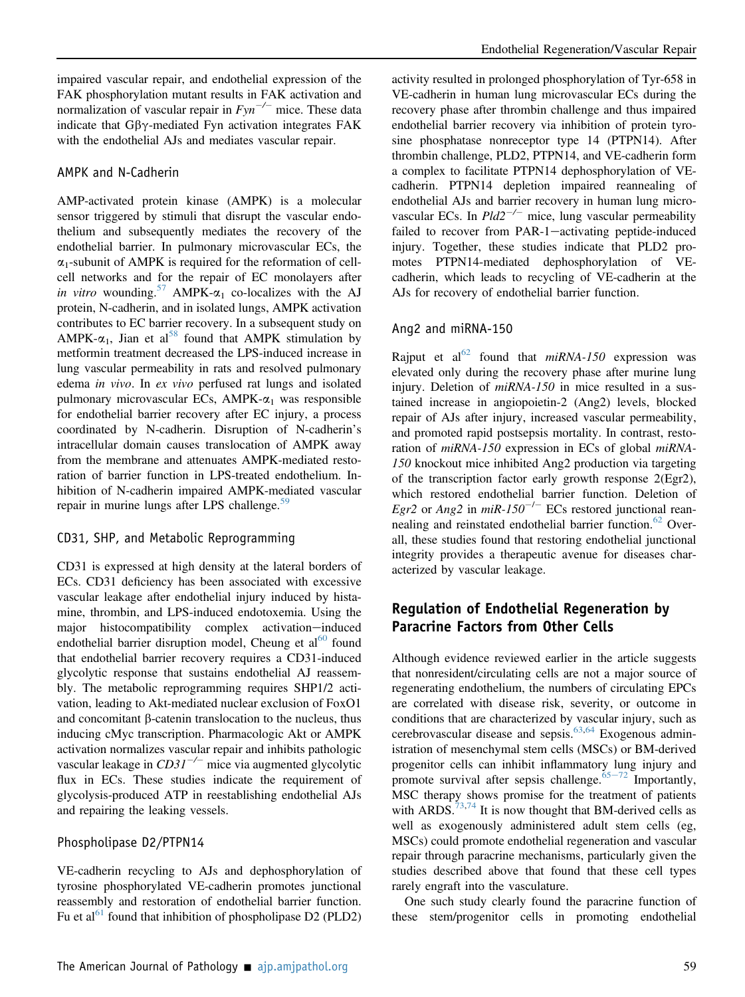impaired vascular repair, and endothelial expression of the FAK phosphorylation mutant results in FAK activation and normalization of vascular repair in  $Fyn^{-/-}$  mice. These data indicate that  $G\beta\gamma$ -mediated Fyn activation integrates FAK with the endothelial AJs and mediates vascular repair.

#### AMPK and N-Cadherin

AMP-activated protein kinase (AMPK) is a molecular sensor triggered by stimuli that disrupt the vascular endothelium and subsequently mediates the recovery of the endothelial barrier. In pulmonary microvascular ECs, the  $\alpha_1$ -subunit of AMPK is required for the reformation of cellcell networks and for the repair of EC monolayers after in vitro wounding.<sup>[57](#page-12-14)</sup> AMPK- $\alpha_1$  co-localizes with the AJ protein, N-cadherin, and in isolated lungs, AMPK activation contributes to EC barrier recovery. In a subsequent study on AMPK- $\alpha_1$ , Jian et al<sup>58</sup> found that AMPK stimulation by metformin treatment decreased the LPS-induced increase in lung vascular permeability in rats and resolved pulmonary edema in vivo. In ex vivo perfused rat lungs and isolated pulmonary microvascular ECs, AMPK- $\alpha_1$  was responsible for endothelial barrier recovery after EC injury, a process coordinated by N-cadherin. Disruption of N-cadherin's intracellular domain causes translocation of AMPK away from the membrane and attenuates AMPK-mediated restoration of barrier function in LPS-treated endothelium. Inhibition of N-cadherin impaired AMPK-mediated vascular repair in murine lungs after LPS challenge.<sup>[59](#page-12-16)</sup>

#### CD31, SHP, and Metabolic Reprogramming

CD31 is expressed at high density at the lateral borders of ECs. CD31 deficiency has been associated with excessive vascular leakage after endothelial injury induced by histamine, thrombin, and LPS-induced endotoxemia. Using the major histocompatibility complex activation-induced endothelial barrier disruption model, Cheung et  $al^{60}$  $al^{60}$  $al^{60}$  found that endothelial barrier recovery requires a CD31-induced glycolytic response that sustains endothelial AJ reassembly. The metabolic reprogramming requires SHP1/2 activation, leading to Akt-mediated nuclear exclusion of FoxO1 and concomitant  $\beta$ -catenin translocation to the nucleus, thus inducing cMyc transcription. Pharmacologic Akt or AMPK activation normalizes vascular repair and inhibits pathologic vascular leakage in  $CD31^{-/-}$  mice via augmented glycolytic flux in ECs. These studies indicate the requirement of glycolysis-produced ATP in reestablishing endothelial AJs and repairing the leaking vessels.

#### Phospholipase D2/PTPN14

VE-cadherin recycling to AJs and dephosphorylation of tyrosine phosphorylated VE-cadherin promotes junctional reassembly and restoration of endothelial barrier function. Fu et al<sup>[61](#page-12-18)</sup> found that inhibition of phospholipase D2 (PLD2)

activity resulted in prolonged phosphorylation of Tyr-658 in VE-cadherin in human lung microvascular ECs during the recovery phase after thrombin challenge and thus impaired endothelial barrier recovery via inhibition of protein tyrosine phosphatase nonreceptor type 14 (PTPN14). After thrombin challenge, PLD2, PTPN14, and VE-cadherin form a complex to facilitate PTPN14 dephosphorylation of VEcadherin. PTPN14 depletion impaired reannealing of endothelial AJs and barrier recovery in human lung microvascular ECs. In  $Pld2^{-/-}$  mice, lung vascular permeability failed to recover from PAR-1-activating peptide-induced injury. Together, these studies indicate that PLD2 promotes PTPN14-mediated dephosphorylation of VEcadherin, which leads to recycling of VE-cadherin at the AJs for recovery of endothelial barrier function.

#### Ang2 and miRNA-150

Rajput et al<sup>62</sup> found that  $miRNA-150$  expression was elevated only during the recovery phase after murine lung injury. Deletion of *miRNA-150* in mice resulted in a sustained increase in angiopoietin-2 (Ang2) levels, blocked repair of AJs after injury, increased vascular permeability, and promoted rapid postsepsis mortality. In contrast, restoration of *miRNA-150* expression in ECs of global *miRNA*-150 knockout mice inhibited Ang2 production via targeting of the transcription factor early growth response 2(Egr2), which restored endothelial barrier function. Deletion of Egr2 or Ang2 in miR-150<sup>-/-</sup> ECs restored junctional rean-nealing and reinstated endothelial barrier function.<sup>[62](#page-12-19)</sup> Overall, these studies found that restoring endothelial junctional integrity provides a therapeutic avenue for diseases characterized by vascular leakage.

## Regulation of Endothelial Regeneration by Paracrine Factors from Other Cells

Although evidence reviewed earlier in the article suggests that nonresident/circulating cells are not a major source of regenerating endothelium, the numbers of circulating EPCs are correlated with disease risk, severity, or outcome in conditions that are characterized by vascular injury, such as cerebrovascular disease and sepsis. $63,64$  $63,64$  Exogenous administration of mesenchymal stem cells (MSCs) or BM-derived progenitor cells can inhibit inflammatory lung injury and promote survival after sepsis challenge.  $65-72$  $65-72$  $65-72$  Importantly, MSC therapy shows promise for the treatment of patients with ARDS.<sup>[73,](#page-13-0)[74](#page-13-1)</sup> It is now thought that BM-derived cells as well as exogenously administered adult stem cells (eg, MSCs) could promote endothelial regeneration and vascular repair through paracrine mechanisms, particularly given the studies described above that found that these cell types rarely engraft into the vasculature.

One such study clearly found the paracrine function of these stem/progenitor cells in promoting endothelial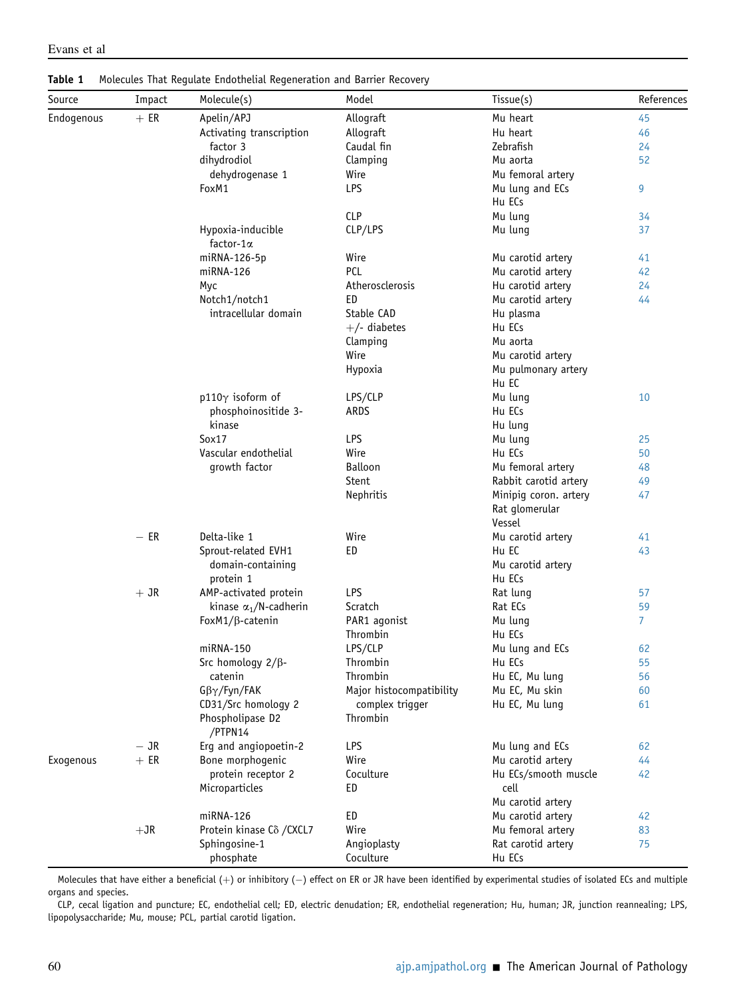Source Impact Molecule(s) Model Tissue(s) References  $Endogenous + ER$  Apelin/APJ Activating transcription factor 3 dihydrodiol dehydrogenase 1 Allograft Allograft Caudal fin Clamping Wire Mu heart Hu heart Zebrafish Mu aorta Mu femoral artery [45](#page-12-2) [46](#page-12-3) [24](#page-11-11) [52](#page-12-9) FoxM1 LPS LPS Mu lung and ECs Hu ECs [9](#page-10-4) CLP Mu lung [34](#page-11-21) Hypoxia-inducible factor-1a CLP/LPS Mu lung [37](#page-11-24) miRNA-126-5p miRNA-126 Myc Notch1/notch1 intracellular domain Wire PCL Atherosclerosis ED Stable CAD  $+/-$  diabetes Clamping Wire Hypoxia Mu carotid artery Mu carotid artery Hu carotid artery Mu carotid artery Hu plasma Hu ECs Mu aorta Mu carotid artery Mu pulmonary artery Hu EC [41](#page-11-28) [42](#page-11-29) [24](#page-11-11) [44](#page-12-1)  $p110\gamma$  isoform of phosphoinositide 3 kinase LPS/CLP ARDS Mu lung Hu ECs Hu lung [10](#page-10-5) Sox17 Vascular endothelial growth factor LPS Wire Balloon Stent Nephritis Mu lung Hu ECs Mu femoral artery Rabbit carotid artery Minipig coron. artery Rat glomerular Vessel [25](#page-11-12) [50](#page-12-7) [48](#page-12-5) [49](#page-12-6) [47](#page-12-4)  $-ER$ Delta-like 1 Sprout-related EVH1 domain-containing protein 1 Wire ED Mu carotid artery Hu EC Mu carotid artery Hu ECs [41](#page-11-28) [43](#page-12-0) + JR AMP-activated protein kinase  $\alpha_1/N$ -cadherin LPS Scratch Rat lung Rat ECs [57](#page-12-14) [59](#page-12-16) FoxM1/β-catenin PAR1 agonist Thrombin Mu lung Hu ECs [7](#page-10-6) miRNA-150 **LPS/CLP** Mu lung and ECs [62](#page-12-19) Src homology  $2/\beta$ catenin  $G\beta\gamma$ /Fyn/FAK CD31/Src homology 2 Phospholipase D2 /PTPN14 Thrombin Thrombin Major histocompatibility complex trigger Thrombin Hu ECs Hu EC, Mu lung Mu EC, Mu skin Hu EC, Mu lung [55](#page-12-12) [56](#page-12-13) [60](#page-12-17) [61](#page-12-18)  $-$  JR<br> $+$  ER Erg and angiopoetin-2 LPS LERS Mu lung and ECs [62](#page-12-19) Exogenous  $+ER$  Bone morphogenic protein receptor 2 Microparticles Wire **Coculture** ED Mu carotid artery Hu ECs/smooth muscle cell Mu carotid artery [44](#page-12-1) [42](#page-11-29) miRNA-126 **ED** ED Mu carotid artery [42](#page-11-29) +JR Protein kinase Cδ /CXCL7 Sphingosine-1 phosphate Wire Angioplasty **Coculture** Mu femoral artery Rat carotid artery Hu ECs [83](#page-13-2) [75](#page-13-3)

<span id="page-8-0"></span>Table 1 Molecules That Regulate Endothelial Regeneration and Barrier Recovery

Molecules that have either a beneficial  $(+)$  or inhibitory  $(-)$  effect on ER or JR have been identified by experimental studies of isolated ECs and multiple organs and species.

CLP, cecal ligation and puncture; EC, endothelial cell; ED, electric denudation; ER, endothelial regeneration; Hu, human; JR, junction reannealing; LPS, lipopolysaccharide; Mu, mouse; PCL, partial carotid ligation.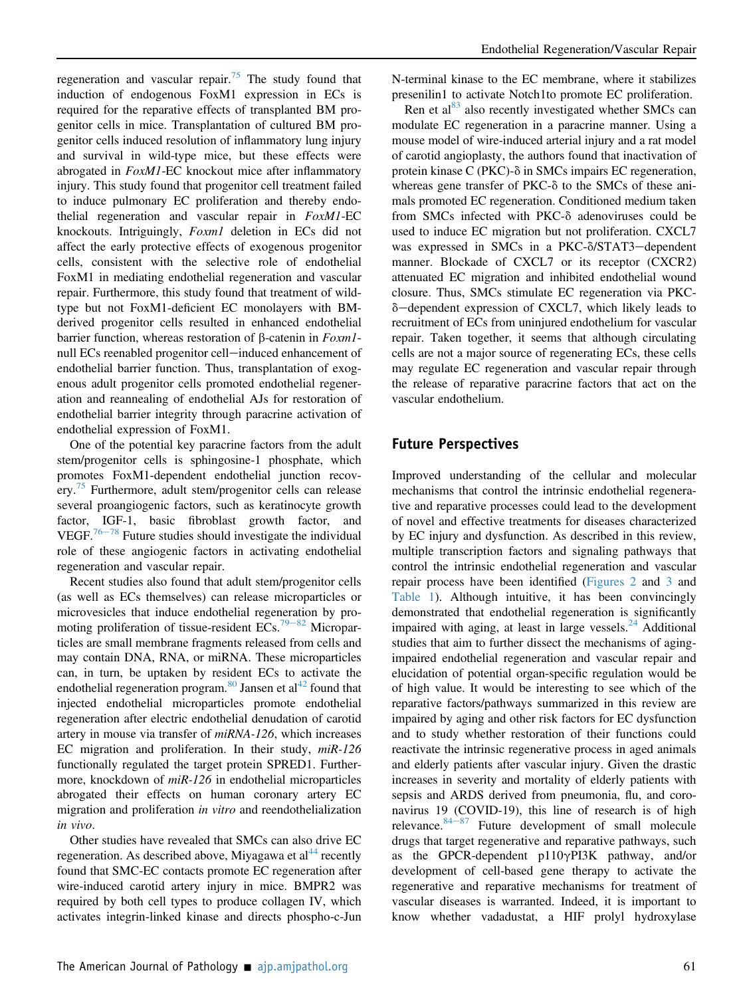regeneration and vascular repair.<sup>[75](#page-13-3)</sup> The study found that induction of endogenous FoxM1 expression in ECs is required for the reparative effects of transplanted BM progenitor cells in mice. Transplantation of cultured BM progenitor cells induced resolution of inflammatory lung injury and survival in wild-type mice, but these effects were abrogated in **FoxM1-EC** knockout mice after inflammatory injury. This study found that progenitor cell treatment failed to induce pulmonary EC proliferation and thereby endothelial regeneration and vascular repair in FoxM1-EC knockouts. Intriguingly, Foxml deletion in ECs did not affect the early protective effects of exogenous progenitor cells, consistent with the selective role of endothelial FoxM1 in mediating endothelial regeneration and vascular repair. Furthermore, this study found that treatment of wildtype but not FoxM1-deficient EC monolayers with BMderived progenitor cells resulted in enhanced endothelial barrier function, whereas restoration of  $\beta$ -catenin in  $Foxm1$ null ECs reenabled progenitor cell-induced enhancement of endothelial barrier function. Thus, transplantation of exogenous adult progenitor cells promoted endothelial regeneration and reannealing of endothelial AJs for restoration of endothelial barrier integrity through paracrine activation of endothelial expression of FoxM1.

One of the potential key paracrine factors from the adult stem/progenitor cells is sphingosine-1 phosphate, which promotes FoxM1-dependent endothelial junction recov-ery.<sup>[75](#page-13-3)</sup> Furthermore, adult stem/progenitor cells can release several proangiogenic factors, such as keratinocyte growth factor, IGF-1, basic fibroblast growth factor, and VEGF.<sup>[76](#page-13-4)-[78](#page-13-4)</sup> Future studies should investigate the individual role of these angiogenic factors in activating endothelial regeneration and vascular repair.

Recent studies also found that adult stem/progenitor cells (as well as ECs themselves) can release microparticles or microvesicles that induce endothelial regeneration by pro-moting proliferation of tissue-resident ECs.<sup>[79](#page-13-5)-[82](#page-13-5)</sup> Microparticles are small membrane fragments released from cells and may contain DNA, RNA, or miRNA. These microparticles can, in turn, be uptaken by resident ECs to activate the endothelial regeneration program.<sup>[80](#page-13-6)</sup> Jansen et al<sup>[42](#page-11-29)</sup> found that injected endothelial microparticles promote endothelial regeneration after electric endothelial denudation of carotid artery in mouse via transfer of miRNA-126, which increases EC migration and proliferation. In their study,  $miR-126$ functionally regulated the target protein SPRED1. Furthermore, knockdown of *miR-126* in endothelial microparticles abrogated their effects on human coronary artery EC migration and proliferation in vitro and reendothelialization in vivo.

Other studies have revealed that SMCs can also drive EC regeneration. As described above, Miyagawa et al<sup>[44](#page-12-1)</sup> recently found that SMC-EC contacts promote EC regeneration after wire-induced carotid artery injury in mice. BMPR2 was required by both cell types to produce collagen IV, which activates integrin-linked kinase and directs phospho-c-Jun N-terminal kinase to the EC membrane, where it stabilizes presenilin1 to activate Notch1to promote EC proliferation.

Ren et al $^{83}$  also recently investigated whether SMCs can modulate EC regeneration in a paracrine manner. Using a mouse model of wire-induced arterial injury and a rat model of carotid angioplasty, the authors found that inactivation of protein kinase  $C$  (PKC)- $\delta$  in SMCs impairs EC regeneration, whereas gene transfer of  $PKC-\delta$  to the SMCs of these animals promoted EC regeneration. Conditioned medium taken from SMCs infected with PKC- $\delta$  adenoviruses could be used to induce EC migration but not proliferation. CXCL7 was expressed in SMCs in a PKC- $\delta$ /STAT3-dependent manner. Blockade of CXCL7 or its receptor (CXCR2) attenuated EC migration and inhibited endothelial wound closure. Thus, SMCs stimulate EC regeneration via PKC- $\delta$ -dependent expression of CXCL7, which likely leads to recruitment of ECs from uninjured endothelium for vascular repair. Taken together, it seems that although circulating cells are not a major source of regenerating ECs, these cells may regulate EC regeneration and vascular repair through the release of reparative paracrine factors that act on the vascular endothelium.

## Future Perspectives

Improved understanding of the cellular and molecular mechanisms that control the intrinsic endothelial regenerative and reparative processes could lead to the development of novel and effective treatments for diseases characterized by EC injury and dysfunction. As described in this review, multiple transcription factors and signaling pathways that control the intrinsic endothelial regeneration and vascular repair process have been identified ([Figures 2](#page-5-0) and [3](#page-6-0) and [Table 1\)](#page-8-0). Although intuitive, it has been convincingly demonstrated that endothelial regeneration is significantly impaired with aging, at least in large vessels.<sup>[24](#page-11-11)</sup> Additional studies that aim to further dissect the mechanisms of agingimpaired endothelial regeneration and vascular repair and elucidation of potential organ-specific regulation would be of high value. It would be interesting to see which of the reparative factors/pathways summarized in this review are impaired by aging and other risk factors for EC dysfunction and to study whether restoration of their functions could reactivate the intrinsic regenerative process in aged animals and elderly patients after vascular injury. Given the drastic increases in severity and mortality of elderly patients with sepsis and ARDS derived from pneumonia, flu, and coronavirus 19 (COVID-19), this line of research is of high relevance.  $84-87$  $84-87$  $84-87$  Future development of small molecule drugs that target regenerative and reparative pathways, such as the GPCR-dependent p110 $\gamma$ PI3K pathway, and/or development of cell-based gene therapy to activate the regenerative and reparative mechanisms for treatment of vascular diseases is warranted. Indeed, it is important to know whether vadadustat, a HIF prolyl hydroxylase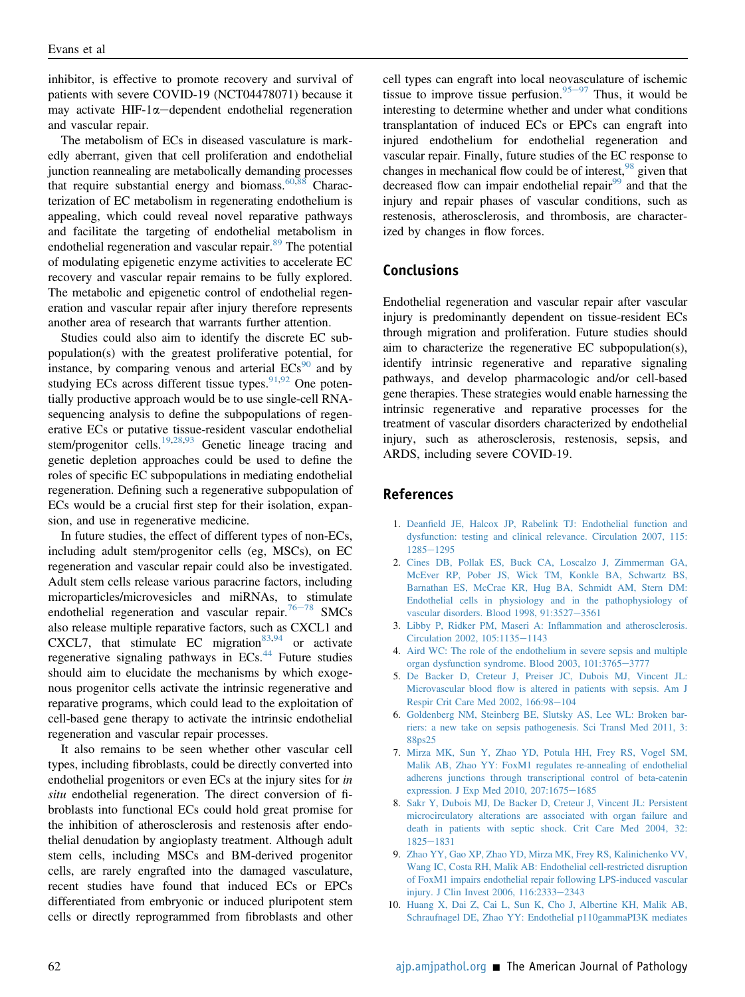inhibitor, is effective to promote recovery and survival of patients with severe COVID-19 (NCT04478071) because it may activate HIF-1 $\alpha$ -dependent endothelial regeneration and vascular repair.

The metabolism of ECs in diseased vasculature is markedly aberrant, given that cell proliferation and endothelial junction reannealing are metabolically demanding processes that require substantial energy and biomass. $60,88$  $60,88$  Characterization of EC metabolism in regenerating endothelium is appealing, which could reveal novel reparative pathways and facilitate the targeting of endothelial metabolism in endothelial regeneration and vascular repair.<sup>[89](#page-13-9)</sup> The potential of modulating epigenetic enzyme activities to accelerate EC recovery and vascular repair remains to be fully explored. The metabolic and epigenetic control of endothelial regeneration and vascular repair after injury therefore represents another area of research that warrants further attention.

Studies could also aim to identify the discrete EC subpopulation(s) with the greatest proliferative potential, for instance, by comparing venous and arterial  $ECs<sup>90</sup>$  $ECs<sup>90</sup>$  $ECs<sup>90</sup>$  and by studying ECs across different tissue types. $91,92$  $91,92$  One potentially productive approach would be to use single-cell RNAsequencing analysis to define the subpopulations of regenerative ECs or putative tissue-resident vascular endothelial stem/progenitor cells.<sup>[19](#page-11-6)[,28](#page-11-15)[,93](#page-13-13)</sup> Genetic lineage tracing and genetic depletion approaches could be used to define the roles of specific EC subpopulations in mediating endothelial regeneration. Defining such a regenerative subpopulation of ECs would be a crucial first step for their isolation, expansion, and use in regenerative medicine.

In future studies, the effect of different types of non-ECs, including adult stem/progenitor cells (eg, MSCs), on EC regeneration and vascular repair could also be investigated. Adult stem cells release various paracrine factors, including microparticles/microvesicles and miRNAs, to stimulate endothelial regeneration and vascular repair.<sup>[76](#page-13-4)-[78](#page-13-4)</sup> SMCs also release multiple reparative factors, such as CXCL1 and CXCL7, that stimulate EC migration $83,94$  $83,94$  or activate regenerative signaling pathways in ECs.<sup>[44](#page-12-1)</sup> Future studies should aim to elucidate the mechanisms by which exogenous progenitor cells activate the intrinsic regenerative and reparative programs, which could lead to the exploitation of cell-based gene therapy to activate the intrinsic endothelial regeneration and vascular repair processes.

It also remains to be seen whether other vascular cell types, including fibroblasts, could be directly converted into endothelial progenitors or even ECs at the injury sites for *in* situ endothelial regeneration. The direct conversion of fibroblasts into functional ECs could hold great promise for the inhibition of atherosclerosis and restenosis after endothelial denudation by angioplasty treatment. Although adult stem cells, including MSCs and BM-derived progenitor cells, are rarely engrafted into the damaged vasculature, recent studies have found that induced ECs or EPCs differentiated from embryonic or induced pluripotent stem cells or directly reprogrammed from fibroblasts and other cell types can engraft into local neovasculature of ischemic tissue to improve tissue perfusion.<sup>[95](#page-13-15)-[97](#page-13-15)</sup> Thus, it would be interesting to determine whether and under what conditions transplantation of induced ECs or EPCs can engraft into injured endothelium for endothelial regeneration and vascular repair. Finally, future studies of the EC response to changes in mechanical flow could be of interest,  $98$  given that decreased flow can impair endothelial repair $99$  and that the injury and repair phases of vascular conditions, such as restenosis, atherosclerosis, and thrombosis, are characterized by changes in flow forces.

## Conclusions

Endothelial regeneration and vascular repair after vascular injury is predominantly dependent on tissue-resident ECs through migration and proliferation. Future studies should aim to characterize the regenerative EC subpopulation(s), identify intrinsic regenerative and reparative signaling pathways, and develop pharmacologic and/or cell-based gene therapies. These strategies would enable harnessing the intrinsic regenerative and reparative processes for the treatment of vascular disorders characterized by endothelial injury, such as atherosclerosis, restenosis, sepsis, and ARDS, including severe COVID-19.

#### <span id="page-10-0"></span>References

- 1. Deanfi[eld JE, Halcox JP, Rabelink TJ: Endothelial function and](http://refhub.elsevier.com/S0002-9440(20)30455-7/sref1) [dysfunction: testing and clinical relevance. Circulation 2007, 115:](http://refhub.elsevier.com/S0002-9440(20)30455-7/sref1) [1285](http://refhub.elsevier.com/S0002-9440(20)30455-7/sref1)e[1295](http://refhub.elsevier.com/S0002-9440(20)30455-7/sref1)
- <span id="page-10-1"></span>2. [Cines DB, Pollak ES, Buck CA, Loscalzo J, Zimmerman GA,](http://refhub.elsevier.com/S0002-9440(20)30455-7/sref2) [McEver RP, Pober JS, Wick TM, Konkle BA, Schwartz BS,](http://refhub.elsevier.com/S0002-9440(20)30455-7/sref2) [Barnathan ES, McCrae KR, Hug BA, Schmidt AM, Stern DM:](http://refhub.elsevier.com/S0002-9440(20)30455-7/sref2) [Endothelial cells in physiology and in the pathophysiology of](http://refhub.elsevier.com/S0002-9440(20)30455-7/sref2) [vascular disorders. Blood 1998, 91:3527](http://refhub.elsevier.com/S0002-9440(20)30455-7/sref2)-[3561](http://refhub.elsevier.com/S0002-9440(20)30455-7/sref2)
- <span id="page-10-3"></span><span id="page-10-2"></span>3. [Libby P, Ridker PM, Maseri A: In](http://refhub.elsevier.com/S0002-9440(20)30455-7/sref3)flammation and atherosclerosis. [Circulation 2002, 105:1135](http://refhub.elsevier.com/S0002-9440(20)30455-7/sref3)-[1143](http://refhub.elsevier.com/S0002-9440(20)30455-7/sref3)
- 4. [Aird WC: The role of the endothelium in severe sepsis and multiple](http://refhub.elsevier.com/S0002-9440(20)30455-7/sref4) [organ dysfunction syndrome. Blood 2003, 101:3765](http://refhub.elsevier.com/S0002-9440(20)30455-7/sref4)-[3777](http://refhub.elsevier.com/S0002-9440(20)30455-7/sref4)
- 5. [De Backer D, Creteur J, Preiser JC, Dubois MJ, Vincent JL:](http://refhub.elsevier.com/S0002-9440(20)30455-7/sref5) Microvascular blood fl[ow is altered in patients with sepsis. Am J](http://refhub.elsevier.com/S0002-9440(20)30455-7/sref5) [Respir Crit Care Med 2002, 166:98](http://refhub.elsevier.com/S0002-9440(20)30455-7/sref5)-[104](http://refhub.elsevier.com/S0002-9440(20)30455-7/sref5)
- 6. [Goldenberg NM, Steinberg BE, Slutsky AS, Lee WL: Broken bar](http://refhub.elsevier.com/S0002-9440(20)30455-7/sref6)[riers: a new take on sepsis pathogenesis. Sci Transl Med 2011, 3:](http://refhub.elsevier.com/S0002-9440(20)30455-7/sref6) [88ps25](http://refhub.elsevier.com/S0002-9440(20)30455-7/sref6)
- <span id="page-10-6"></span>7. [Mirza MK, Sun Y, Zhao YD, Potula HH, Frey RS, Vogel SM,](http://refhub.elsevier.com/S0002-9440(20)30455-7/sref7) [Malik AB, Zhao YY: FoxM1 regulates re-annealing of endothelial](http://refhub.elsevier.com/S0002-9440(20)30455-7/sref7) [adherens junctions through transcriptional control of beta-catenin](http://refhub.elsevier.com/S0002-9440(20)30455-7/sref7) [expression. J Exp Med 2010, 207:1675](http://refhub.elsevier.com/S0002-9440(20)30455-7/sref7)-[1685](http://refhub.elsevier.com/S0002-9440(20)30455-7/sref7)
- 8. [Sakr Y, Dubois MJ, De Backer D, Creteur J, Vincent JL: Persistent](http://refhub.elsevier.com/S0002-9440(20)30455-7/sref8) [microcirculatory alterations are associated with organ failure and](http://refhub.elsevier.com/S0002-9440(20)30455-7/sref8) [death in patients with septic shock. Crit Care Med 2004, 32:](http://refhub.elsevier.com/S0002-9440(20)30455-7/sref8) [1825](http://refhub.elsevier.com/S0002-9440(20)30455-7/sref8)-[1831](http://refhub.elsevier.com/S0002-9440(20)30455-7/sref8)
- <span id="page-10-4"></span>9. [Zhao YY, Gao XP, Zhao YD, Mirza MK, Frey RS, Kalinichenko VV,](http://refhub.elsevier.com/S0002-9440(20)30455-7/sref9) [Wang IC, Costa RH, Malik AB: Endothelial cell-restricted disruption](http://refhub.elsevier.com/S0002-9440(20)30455-7/sref9) [of FoxM1 impairs endothelial repair following LPS-induced vascular](http://refhub.elsevier.com/S0002-9440(20)30455-7/sref9) [injury. J Clin Invest 2006, 116:2333](http://refhub.elsevier.com/S0002-9440(20)30455-7/sref9)-[2343](http://refhub.elsevier.com/S0002-9440(20)30455-7/sref9)
- <span id="page-10-5"></span>10. [Huang X, Dai Z, Cai L, Sun K, Cho J, Albertine KH, Malik AB,](http://refhub.elsevier.com/S0002-9440(20)30455-7/sref10) [Schraufnagel DE, Zhao YY: Endothelial p110gammaPI3K mediates](http://refhub.elsevier.com/S0002-9440(20)30455-7/sref10)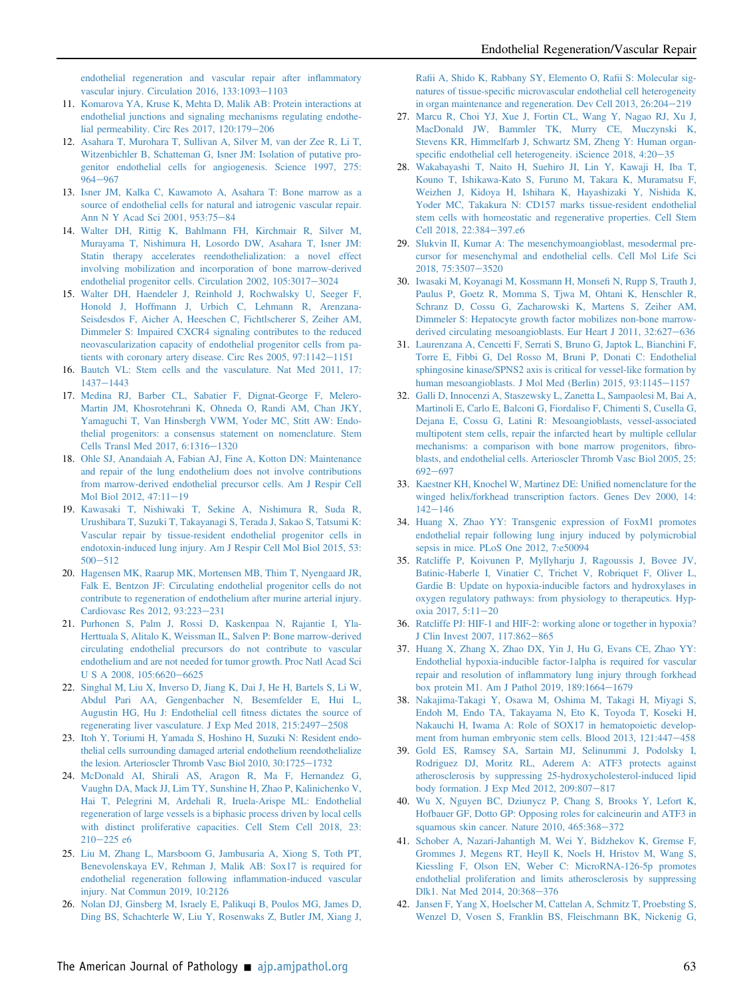[endothelial regeneration and vascular repair after in](http://refhub.elsevier.com/S0002-9440(20)30455-7/sref10)flammatory [vascular injury. Circulation 2016, 133:1093](http://refhub.elsevier.com/S0002-9440(20)30455-7/sref10)-[1103](http://refhub.elsevier.com/S0002-9440(20)30455-7/sref10)

- <span id="page-11-0"></span>11. [Komarova YA, Kruse K, Mehta D, Malik AB: Protein interactions at](http://refhub.elsevier.com/S0002-9440(20)30455-7/sref11) [endothelial junctions and signaling mechanisms regulating endothe](http://refhub.elsevier.com/S0002-9440(20)30455-7/sref11)lial permeability. Circ Res  $2017$ ,  $120:179-206$  $120:179-206$
- <span id="page-11-1"></span>12. [Asahara T, Murohara T, Sullivan A, Silver M, van der Zee R, Li T,](http://refhub.elsevier.com/S0002-9440(20)30455-7/sref12) [Witzenbichler B, Schatteman G, Isner JM: Isolation of putative pro](http://refhub.elsevier.com/S0002-9440(20)30455-7/sref12)[genitor endothelial cells for angiogenesis. Science 1997, 275:](http://refhub.elsevier.com/S0002-9440(20)30455-7/sref12) [964](http://refhub.elsevier.com/S0002-9440(20)30455-7/sref12)-[967](http://refhub.elsevier.com/S0002-9440(20)30455-7/sref12)
- <span id="page-11-2"></span>13. [Isner JM, Kalka C, Kawamoto A, Asahara T: Bone marrow as a](http://refhub.elsevier.com/S0002-9440(20)30455-7/sref13) [source of endothelial cells for natural and iatrogenic vascular repair.](http://refhub.elsevier.com/S0002-9440(20)30455-7/sref13) [Ann N Y Acad Sci 2001, 953:75](http://refhub.elsevier.com/S0002-9440(20)30455-7/sref13)-[84](http://refhub.elsevier.com/S0002-9440(20)30455-7/sref13)
- 14. [Walter DH, Rittig K, Bahlmann FH, Kirchmair R, Silver M,](http://refhub.elsevier.com/S0002-9440(20)30455-7/sref14) [Murayama T, Nishimura H, Losordo DW, Asahara T, Isner JM:](http://refhub.elsevier.com/S0002-9440(20)30455-7/sref14) [Statin therapy accelerates reendothelialization: a novel effect](http://refhub.elsevier.com/S0002-9440(20)30455-7/sref14) [involving mobilization and incorporation of bone marrow-derived](http://refhub.elsevier.com/S0002-9440(20)30455-7/sref14) [endothelial progenitor cells. Circulation 2002, 105:3017](http://refhub.elsevier.com/S0002-9440(20)30455-7/sref14)-[3024](http://refhub.elsevier.com/S0002-9440(20)30455-7/sref14)
- 15. [Walter DH, Haendeler J, Reinhold J, Rochwalsky U, Seeger F,](http://refhub.elsevier.com/S0002-9440(20)30455-7/sref15) [Honold J, Hoffmann J, Urbich C, Lehmann R, Arenzana-](http://refhub.elsevier.com/S0002-9440(20)30455-7/sref15)[Seisdesdos F, Aicher A, Heeschen C, Fichtlscherer S, Zeiher AM,](http://refhub.elsevier.com/S0002-9440(20)30455-7/sref15) [Dimmeler S: Impaired CXCR4 signaling contributes to the reduced](http://refhub.elsevier.com/S0002-9440(20)30455-7/sref15) [neovascularization capacity of endothelial progenitor cells from pa](http://refhub.elsevier.com/S0002-9440(20)30455-7/sref15)[tients with coronary artery disease. Circ Res 2005, 97:1142](http://refhub.elsevier.com/S0002-9440(20)30455-7/sref15)-[1151](http://refhub.elsevier.com/S0002-9440(20)30455-7/sref15)
- <span id="page-11-3"></span>16. [Bautch VL: Stem cells and the vasculature. Nat Med 2011, 17:](http://refhub.elsevier.com/S0002-9440(20)30455-7/sref16)  $1437 - 1443$  $1437 - 1443$  $1437 - 1443$
- <span id="page-11-4"></span>17. [Medina RJ, Barber CL, Sabatier F, Dignat-George F, Melero-](http://refhub.elsevier.com/S0002-9440(20)30455-7/sref17)[Martin JM, Khosrotehrani K, Ohneda O, Randi AM, Chan JKY,](http://refhub.elsevier.com/S0002-9440(20)30455-7/sref17) [Yamaguchi T, Van Hinsbergh VWM, Yoder MC, Stitt AW: Endo](http://refhub.elsevier.com/S0002-9440(20)30455-7/sref17)[thelial progenitors: a consensus statement on nomenclature. Stem](http://refhub.elsevier.com/S0002-9440(20)30455-7/sref17) [Cells Transl Med 2017, 6:1316](http://refhub.elsevier.com/S0002-9440(20)30455-7/sref17)-[1320](http://refhub.elsevier.com/S0002-9440(20)30455-7/sref17)
- <span id="page-11-5"></span>18. [Ohle SJ, Anandaiah A, Fabian AJ, Fine A, Kotton DN: Maintenance](http://refhub.elsevier.com/S0002-9440(20)30455-7/sref18) [and repair of the lung endothelium does not involve contributions](http://refhub.elsevier.com/S0002-9440(20)30455-7/sref18) [from marrow-derived endothelial precursor cells. Am J Respir Cell](http://refhub.elsevier.com/S0002-9440(20)30455-7/sref18) [Mol Biol 2012, 47:11](http://refhub.elsevier.com/S0002-9440(20)30455-7/sref18)-[19](http://refhub.elsevier.com/S0002-9440(20)30455-7/sref18)
- <span id="page-11-6"></span>19. [Kawasaki T, Nishiwaki T, Sekine A, Nishimura R, Suda R,](http://refhub.elsevier.com/S0002-9440(20)30455-7/sref19) [Urushibara T, Suzuki T, Takayanagi S, Terada J, Sakao S, Tatsumi K:](http://refhub.elsevier.com/S0002-9440(20)30455-7/sref19) [Vascular repair by tissue-resident endothelial progenitor cells in](http://refhub.elsevier.com/S0002-9440(20)30455-7/sref19) [endotoxin-induced lung injury. Am J Respir Cell Mol Biol 2015, 53:](http://refhub.elsevier.com/S0002-9440(20)30455-7/sref19)  $500 - 512$  $500 - 512$  $500 - 512$
- <span id="page-11-7"></span>20. [Hagensen MK, Raarup MK, Mortensen MB, Thim T, Nyengaard JR,](http://refhub.elsevier.com/S0002-9440(20)30455-7/sref20) [Falk E, Bentzon JF: Circulating endothelial progenitor cells do not](http://refhub.elsevier.com/S0002-9440(20)30455-7/sref20) [contribute to regeneration of endothelium after murine arterial injury.](http://refhub.elsevier.com/S0002-9440(20)30455-7/sref20) [Cardiovasc Res 2012, 93:223](http://refhub.elsevier.com/S0002-9440(20)30455-7/sref20)-[231](http://refhub.elsevier.com/S0002-9440(20)30455-7/sref20)
- <span id="page-11-8"></span>21. [Purhonen S, Palm J, Rossi D, Kaskenpaa N, Rajantie I, Yla-](http://refhub.elsevier.com/S0002-9440(20)30455-7/sref21)[Herttuala S, Alitalo K, Weissman IL, Salven P: Bone marrow-derived](http://refhub.elsevier.com/S0002-9440(20)30455-7/sref21) [circulating endothelial precursors do not contribute to vascular](http://refhub.elsevier.com/S0002-9440(20)30455-7/sref21) [endothelium and are not needed for tumor growth. Proc Natl Acad Sci](http://refhub.elsevier.com/S0002-9440(20)30455-7/sref21) [U S A 2008, 105:6620](http://refhub.elsevier.com/S0002-9440(20)30455-7/sref21)-[6625](http://refhub.elsevier.com/S0002-9440(20)30455-7/sref21)
- <span id="page-11-9"></span>22. [Singhal M, Liu X, Inverso D, Jiang K, Dai J, He H, Bartels S, Li W,](http://refhub.elsevier.com/S0002-9440(20)30455-7/sref22) [Abdul Pari AA, Gengenbacher N, Besemfelder E, Hui L,](http://refhub.elsevier.com/S0002-9440(20)30455-7/sref22) [Augustin HG, Hu J: Endothelial cell](http://refhub.elsevier.com/S0002-9440(20)30455-7/sref22) fitness dictates the source of regenerating liver vasculature. J Exp Med 2018,  $215:2497-2508$  $215:2497-2508$
- <span id="page-11-10"></span>23. [Itoh Y, Toriumi H, Yamada S, Hoshino H, Suzuki N: Resident endo](http://refhub.elsevier.com/S0002-9440(20)30455-7/sref23)[thelial cells surrounding damaged arterial endothelium reendothelialize](http://refhub.elsevier.com/S0002-9440(20)30455-7/sref23) [the lesion. Arterioscler Thromb Vasc Biol 2010, 30:1725](http://refhub.elsevier.com/S0002-9440(20)30455-7/sref23)-[1732](http://refhub.elsevier.com/S0002-9440(20)30455-7/sref23)
- <span id="page-11-11"></span>24. [McDonald AI, Shirali AS, Aragon R, Ma F, Hernandez G,](http://refhub.elsevier.com/S0002-9440(20)30455-7/sref24) [Vaughn DA, Mack JJ, Lim TY, Sunshine H, Zhao P, Kalinichenko V,](http://refhub.elsevier.com/S0002-9440(20)30455-7/sref24) [Hai T, Pelegrini M, Ardehali R, Iruela-Arispe ML: Endothelial](http://refhub.elsevier.com/S0002-9440(20)30455-7/sref24) [regeneration of large vessels is a biphasic process driven by local cells](http://refhub.elsevier.com/S0002-9440(20)30455-7/sref24) [with distinct proliferative capacities. Cell Stem Cell 2018, 23:](http://refhub.elsevier.com/S0002-9440(20)30455-7/sref24)  $210 - 225$  $210 - 225$  e6
- <span id="page-11-12"></span>25. [Liu M, Zhang L, Marsboom G, Jambusaria A, Xiong S, Toth PT,](http://refhub.elsevier.com/S0002-9440(20)30455-7/sref25) [Benevolenskaya EV, Rehman J, Malik AB: Sox17 is required for](http://refhub.elsevier.com/S0002-9440(20)30455-7/sref25) [endothelial regeneration following in](http://refhub.elsevier.com/S0002-9440(20)30455-7/sref25)flammation-induced vascular [injury. Nat Commun 2019, 10:2126](http://refhub.elsevier.com/S0002-9440(20)30455-7/sref25)
- <span id="page-11-13"></span>26. [Nolan DJ, Ginsberg M, Israely E, Palikuqi B, Poulos MG, James D,](http://refhub.elsevier.com/S0002-9440(20)30455-7/sref26) [Ding BS, Schachterle W, Liu Y, Rosenwaks Z, Butler JM, Xiang J,](http://refhub.elsevier.com/S0002-9440(20)30455-7/sref26)

Rafi[i A, Shido K, Rabbany SY, Elemento O, Ra](http://refhub.elsevier.com/S0002-9440(20)30455-7/sref26)fii S: Molecular signatures of tissue-specifi[c microvascular endothelial cell heterogeneity](http://refhub.elsevier.com/S0002-9440(20)30455-7/sref26) in organ maintenance and regeneration. Dev Cell  $2013$ ,  $26:204-219$  $26:204-219$ 

- <span id="page-11-14"></span>27. [Marcu R, Choi YJ, Xue J, Fortin CL, Wang Y, Nagao RJ, Xu J,](http://refhub.elsevier.com/S0002-9440(20)30455-7/sref27) [MacDonald JW, Bammler TK, Murry CE, Muczynski K,](http://refhub.elsevier.com/S0002-9440(20)30455-7/sref27) [Stevens KR, Himmelfarb J, Schwartz SM, Zheng Y: Human organ](http://refhub.elsevier.com/S0002-9440(20)30455-7/sref27)specifi[c endothelial cell heterogeneity. iScience 2018, 4:20](http://refhub.elsevier.com/S0002-9440(20)30455-7/sref27)-[35](http://refhub.elsevier.com/S0002-9440(20)30455-7/sref27)
- <span id="page-11-15"></span>28. [Wakabayashi T, Naito H, Suehiro JI, Lin Y, Kawaji H, Iba T,](http://refhub.elsevier.com/S0002-9440(20)30455-7/sref28) [Kouno T, Ishikawa-Kato S, Furuno M, Takara K, Muramatsu F,](http://refhub.elsevier.com/S0002-9440(20)30455-7/sref28) [Weizhen J, Kidoya H, Ishihara K, Hayashizaki Y, Nishida K,](http://refhub.elsevier.com/S0002-9440(20)30455-7/sref28) [Yoder MC, Takakura N: CD157 marks tissue-resident endothelial](http://refhub.elsevier.com/S0002-9440(20)30455-7/sref28) [stem cells with homeostatic and regenerative properties. Cell Stem](http://refhub.elsevier.com/S0002-9440(20)30455-7/sref28) [Cell 2018, 22:384](http://refhub.elsevier.com/S0002-9440(20)30455-7/sref28)-[397.e6](http://refhub.elsevier.com/S0002-9440(20)30455-7/sref28)
- <span id="page-11-16"></span>29. [Slukvin II, Kumar A: The mesenchymoangioblast, mesodermal pre](http://refhub.elsevier.com/S0002-9440(20)30455-7/sref29)[cursor for mesenchymal and endothelial cells. Cell Mol Life Sci](http://refhub.elsevier.com/S0002-9440(20)30455-7/sref29) [2018, 75:3507](http://refhub.elsevier.com/S0002-9440(20)30455-7/sref29)-[3520](http://refhub.elsevier.com/S0002-9440(20)30455-7/sref29)
- <span id="page-11-17"></span>30. [Iwasaki M, Koyanagi M, Kossmann H, Monse](http://refhub.elsevier.com/S0002-9440(20)30455-7/sref30)fi N, Rupp S, Trauth J, [Paulus P, Goetz R, Momma S, Tjwa M, Ohtani K, Henschler R,](http://refhub.elsevier.com/S0002-9440(20)30455-7/sref30) [Schranz D, Cossu G, Zacharowski K, Martens S, Zeiher AM,](http://refhub.elsevier.com/S0002-9440(20)30455-7/sref30) [Dimmeler S: Hepatocyte growth factor mobilizes non-bone marrow](http://refhub.elsevier.com/S0002-9440(20)30455-7/sref30)[derived circulating mesoangioblasts. Eur Heart J 2011, 32:627](http://refhub.elsevier.com/S0002-9440(20)30455-7/sref30)-[636](http://refhub.elsevier.com/S0002-9440(20)30455-7/sref30)
- <span id="page-11-18"></span>31. [Laurenzana A, Cencetti F, Serrati S, Bruno G, Japtok L, Bianchini F,](http://refhub.elsevier.com/S0002-9440(20)30455-7/sref31) [Torre E, Fibbi G, Del Rosso M, Bruni P, Donati C: Endothelial](http://refhub.elsevier.com/S0002-9440(20)30455-7/sref31) [sphingosine kinase/SPNS2 axis is critical for vessel-like formation by](http://refhub.elsevier.com/S0002-9440(20)30455-7/sref31) human mesoangioblasts. J Mol Med (Berlin)  $2015$ ,  $93:1145-1157$  $93:1145-1157$
- <span id="page-11-19"></span>32. [Galli D, Innocenzi A, Staszewsky L, Zanetta L, Sampaolesi M, Bai A,](http://refhub.elsevier.com/S0002-9440(20)30455-7/sref32) [Martinoli E, Carlo E, Balconi G, Fiordaliso F, Chimenti S, Cusella G,](http://refhub.elsevier.com/S0002-9440(20)30455-7/sref32) [Dejana E, Cossu G, Latini R: Mesoangioblasts, vessel-associated](http://refhub.elsevier.com/S0002-9440(20)30455-7/sref32) [multipotent stem cells, repair the infarcted heart by multiple cellular](http://refhub.elsevier.com/S0002-9440(20)30455-7/sref32) [mechanisms: a comparison with bone marrow progenitors,](http://refhub.elsevier.com/S0002-9440(20)30455-7/sref32) fibro[blasts, and endothelial cells. Arterioscler Thromb Vasc Biol 2005, 25:](http://refhub.elsevier.com/S0002-9440(20)30455-7/sref32)  $692 - 697$  $692 - 697$  $692 - 697$
- <span id="page-11-20"></span>33. [Kaestner KH, Knochel W, Martinez DE: Uni](http://refhub.elsevier.com/S0002-9440(20)30455-7/sref33)fied nomenclature for the [winged helix/forkhead transcription factors. Genes Dev 2000, 14:](http://refhub.elsevier.com/S0002-9440(20)30455-7/sref33)  $142 - 146$  $142 - 146$  $142 - 146$
- <span id="page-11-21"></span>34. [Huang X, Zhao YY: Transgenic expression of FoxM1 promotes](http://refhub.elsevier.com/S0002-9440(20)30455-7/sref34) [endothelial repair following lung injury induced by polymicrobial](http://refhub.elsevier.com/S0002-9440(20)30455-7/sref34) [sepsis in mice. PLoS One 2012, 7:e50094](http://refhub.elsevier.com/S0002-9440(20)30455-7/sref34)
- <span id="page-11-22"></span>35. [Ratcliffe P, Koivunen P, Myllyharju J, Ragoussis J, Bovee JV,](http://refhub.elsevier.com/S0002-9440(20)30455-7/sref35) [Batinic-Haberle I, Vinatier C, Trichet V, Robriquet F, Oliver L,](http://refhub.elsevier.com/S0002-9440(20)30455-7/sref35) [Gardie B: Update on hypoxia-inducible factors and hydroxylases in](http://refhub.elsevier.com/S0002-9440(20)30455-7/sref35) [oxygen regulatory pathways: from physiology to therapeutics. Hyp](http://refhub.elsevier.com/S0002-9440(20)30455-7/sref35)[oxia 2017, 5:11](http://refhub.elsevier.com/S0002-9440(20)30455-7/sref35)-[20](http://refhub.elsevier.com/S0002-9440(20)30455-7/sref35)
- <span id="page-11-23"></span>36. [Ratcliffe PJ: HIF-1 and HIF-2: working alone or together in hypoxia?](http://refhub.elsevier.com/S0002-9440(20)30455-7/sref36) [J Clin Invest 2007, 117:862](http://refhub.elsevier.com/S0002-9440(20)30455-7/sref36)-[865](http://refhub.elsevier.com/S0002-9440(20)30455-7/sref36)
- <span id="page-11-24"></span>37. [Huang X, Zhang X, Zhao DX, Yin J, Hu G, Evans CE, Zhao YY:](http://refhub.elsevier.com/S0002-9440(20)30455-7/sref37) [Endothelial hypoxia-inducible factor-1alpha is required for vascular](http://refhub.elsevier.com/S0002-9440(20)30455-7/sref37) repair and resolution of infl[ammatory lung injury through forkhead](http://refhub.elsevier.com/S0002-9440(20)30455-7/sref37) [box protein M1. Am J Pathol 2019, 189:1664](http://refhub.elsevier.com/S0002-9440(20)30455-7/sref37)-[1679](http://refhub.elsevier.com/S0002-9440(20)30455-7/sref37)
- <span id="page-11-25"></span>38. [Nakajima-Takagi Y, Osawa M, Oshima M, Takagi H, Miyagi S,](http://refhub.elsevier.com/S0002-9440(20)30455-7/sref38) [Endoh M, Endo TA, Takayama N, Eto K, Toyoda T, Koseki H,](http://refhub.elsevier.com/S0002-9440(20)30455-7/sref38) [Nakauchi H, Iwama A: Role of SOX17 in hematopoietic develop](http://refhub.elsevier.com/S0002-9440(20)30455-7/sref38)[ment from human embryonic stem cells. Blood 2013, 121:447](http://refhub.elsevier.com/S0002-9440(20)30455-7/sref38)-[458](http://refhub.elsevier.com/S0002-9440(20)30455-7/sref38)
- <span id="page-11-26"></span>39. [Gold ES, Ramsey SA, Sartain MJ, Selinummi J, Podolsky I,](http://refhub.elsevier.com/S0002-9440(20)30455-7/sref39) [Rodriguez DJ, Moritz RL, Aderem A: ATF3 protects against](http://refhub.elsevier.com/S0002-9440(20)30455-7/sref39) [atherosclerosis by suppressing 25-hydroxycholesterol-induced lipid](http://refhub.elsevier.com/S0002-9440(20)30455-7/sref39) body formation. J Exp Med 2012,  $209:807-817$  $209:807-817$
- <span id="page-11-27"></span>40. [Wu X, Nguyen BC, Dziunycz P, Chang S, Brooks Y, Lefort K,](http://refhub.elsevier.com/S0002-9440(20)30455-7/sref40) [Hofbauer GF, Dotto GP: Opposing roles for calcineurin and ATF3 in](http://refhub.elsevier.com/S0002-9440(20)30455-7/sref40) squamous skin cancer. Nature  $2010$ ,  $465:368-372$  $465:368-372$
- <span id="page-11-28"></span>41. [Schober A, Nazari-Jahantigh M, Wei Y, Bidzhekov K, Gremse F,](http://refhub.elsevier.com/S0002-9440(20)30455-7/sref41) [Grommes J, Megens RT, Heyll K, Noels H, Hristov M, Wang S,](http://refhub.elsevier.com/S0002-9440(20)30455-7/sref41) [Kiessling F, Olson EN, Weber C: MicroRNA-126-5p promotes](http://refhub.elsevier.com/S0002-9440(20)30455-7/sref41) [endothelial proliferation and limits atherosclerosis by suppressing](http://refhub.elsevier.com/S0002-9440(20)30455-7/sref41) [Dlk1. Nat Med 2014, 20:368](http://refhub.elsevier.com/S0002-9440(20)30455-7/sref41)-[376](http://refhub.elsevier.com/S0002-9440(20)30455-7/sref41)
- <span id="page-11-29"></span>42. [Jansen F, Yang X, Hoelscher M, Cattelan A, Schmitz T, Proebsting S,](http://refhub.elsevier.com/S0002-9440(20)30455-7/sref42) [Wenzel D, Vosen S, Franklin BS, Fleischmann BK, Nickenig G,](http://refhub.elsevier.com/S0002-9440(20)30455-7/sref42)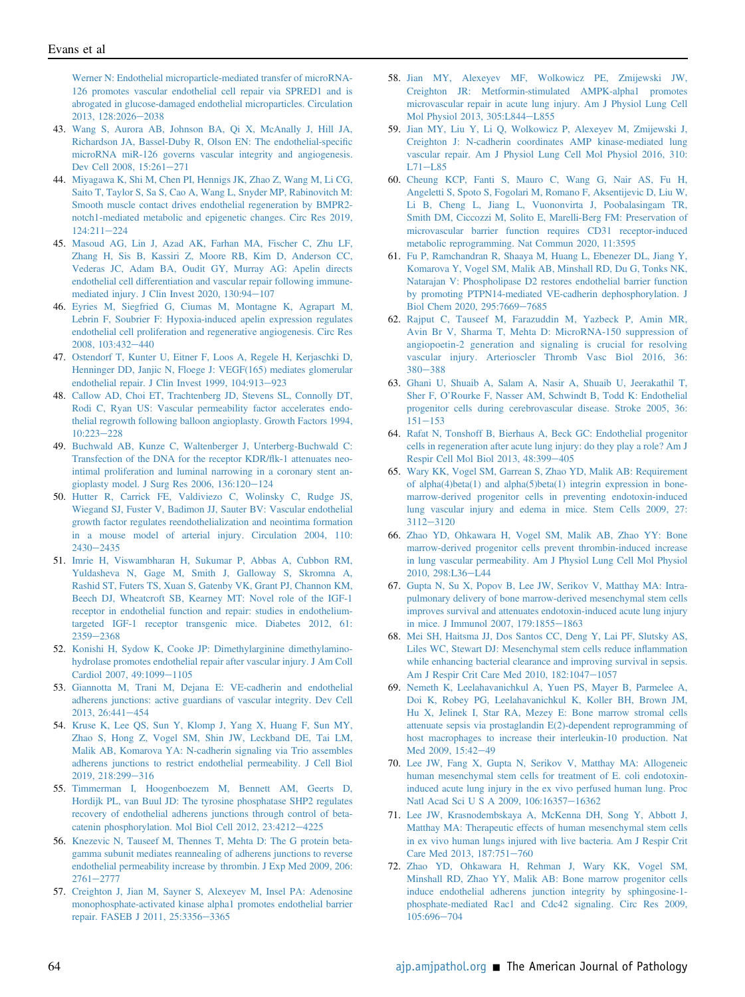[Werner N: Endothelial microparticle-mediated transfer of microRNA-](http://refhub.elsevier.com/S0002-9440(20)30455-7/sref42)[126 promotes vascular endothelial cell repair via SPRED1 and is](http://refhub.elsevier.com/S0002-9440(20)30455-7/sref42) [abrogated in glucose-damaged endothelial microparticles. Circulation](http://refhub.elsevier.com/S0002-9440(20)30455-7/sref42) [2013, 128:2026](http://refhub.elsevier.com/S0002-9440(20)30455-7/sref42)-[2038](http://refhub.elsevier.com/S0002-9440(20)30455-7/sref42)

- <span id="page-12-0"></span>43. [Wang S, Aurora AB, Johnson BA, Qi X, McAnally J, Hill JA,](http://refhub.elsevier.com/S0002-9440(20)30455-7/sref43) [Richardson JA, Bassel-Duby R, Olson EN: The endothelial-speci](http://refhub.elsevier.com/S0002-9440(20)30455-7/sref43)fic [microRNA miR-126 governs vascular integrity and angiogenesis.](http://refhub.elsevier.com/S0002-9440(20)30455-7/sref43) [Dev Cell 2008, 15:261](http://refhub.elsevier.com/S0002-9440(20)30455-7/sref43)-[271](http://refhub.elsevier.com/S0002-9440(20)30455-7/sref43)
- <span id="page-12-1"></span>44. [Miyagawa K, Shi M, Chen PI, Hennigs JK, Zhao Z, Wang M, Li CG,](http://refhub.elsevier.com/S0002-9440(20)30455-7/sref44) [Saito T, Taylor S, Sa S, Cao A, Wang L, Snyder MP, Rabinovitch M:](http://refhub.elsevier.com/S0002-9440(20)30455-7/sref44) [Smooth muscle contact drives endothelial regeneration by BMPR2](http://refhub.elsevier.com/S0002-9440(20)30455-7/sref44) [notch1-mediated metabolic and epigenetic changes. Circ Res 2019,](http://refhub.elsevier.com/S0002-9440(20)30455-7/sref44)  $124:211-224$  $124:211-224$  $124:211-224$
- <span id="page-12-2"></span>45. [Masoud AG, Lin J, Azad AK, Farhan MA, Fischer C, Zhu LF,](http://refhub.elsevier.com/S0002-9440(20)30455-7/sref45) [Zhang H, Sis B, Kassiri Z, Moore RB, Kim D, Anderson CC,](http://refhub.elsevier.com/S0002-9440(20)30455-7/sref45) [Vederas JC, Adam BA, Oudit GY, Murray AG: Apelin directs](http://refhub.elsevier.com/S0002-9440(20)30455-7/sref45) [endothelial cell differentiation and vascular repair following immune](http://refhub.elsevier.com/S0002-9440(20)30455-7/sref45)[mediated injury. J Clin Invest 2020, 130:94](http://refhub.elsevier.com/S0002-9440(20)30455-7/sref45)-[107](http://refhub.elsevier.com/S0002-9440(20)30455-7/sref45)
- <span id="page-12-3"></span>46. [Eyries M, Siegfried G, Ciumas M, Montagne K, Agrapart M,](http://refhub.elsevier.com/S0002-9440(20)30455-7/sref46) [Lebrin F, Soubrier F: Hypoxia-induced apelin expression regulates](http://refhub.elsevier.com/S0002-9440(20)30455-7/sref46) [endothelial cell proliferation and regenerative angiogenesis. Circ Res](http://refhub.elsevier.com/S0002-9440(20)30455-7/sref46) [2008, 103:432](http://refhub.elsevier.com/S0002-9440(20)30455-7/sref46)-[440](http://refhub.elsevier.com/S0002-9440(20)30455-7/sref46)
- <span id="page-12-4"></span>47. [Ostendorf T, Kunter U, Eitner F, Loos A, Regele H, Kerjaschki D,](http://refhub.elsevier.com/S0002-9440(20)30455-7/sref47) [Henninger DD, Janjic N, Floege J: VEGF\(165\) mediates glomerular](http://refhub.elsevier.com/S0002-9440(20)30455-7/sref47) [endothelial repair. J Clin Invest 1999, 104:913](http://refhub.elsevier.com/S0002-9440(20)30455-7/sref47)-[923](http://refhub.elsevier.com/S0002-9440(20)30455-7/sref47)
- <span id="page-12-5"></span>48. [Callow AD, Choi ET, Trachtenberg JD, Stevens SL, Connolly DT,](http://refhub.elsevier.com/S0002-9440(20)30455-7/sref48) [Rodi C, Ryan US: Vascular permeability factor accelerates endo](http://refhub.elsevier.com/S0002-9440(20)30455-7/sref48)[thelial regrowth following balloon angioplasty. Growth Factors 1994,](http://refhub.elsevier.com/S0002-9440(20)30455-7/sref48)  $10:223 - 228$  $10:223 - 228$  $10:223 - 228$
- <span id="page-12-6"></span>49. [Buchwald AB, Kunze C, Waltenberger J, Unterberg-Buchwald C:](http://refhub.elsevier.com/S0002-9440(20)30455-7/sref49) [Transfection of the DNA for the receptor KDR/](http://refhub.elsevier.com/S0002-9440(20)30455-7/sref49)flk-1 attenuates neo[intimal proliferation and luminal narrowing in a coronary stent an](http://refhub.elsevier.com/S0002-9440(20)30455-7/sref49)[gioplasty model. J Surg Res 2006, 136:120](http://refhub.elsevier.com/S0002-9440(20)30455-7/sref49)-[124](http://refhub.elsevier.com/S0002-9440(20)30455-7/sref49)
- <span id="page-12-7"></span>50. [Hutter R, Carrick FE, Valdiviezo C, Wolinsky C, Rudge JS,](http://refhub.elsevier.com/S0002-9440(20)30455-7/sref50) [Wiegand SJ, Fuster V, Badimon JJ, Sauter BV: Vascular endothelial](http://refhub.elsevier.com/S0002-9440(20)30455-7/sref50) [growth factor regulates reendothelialization and neointima formation](http://refhub.elsevier.com/S0002-9440(20)30455-7/sref50) [in a mouse model of arterial injury. Circulation 2004, 110:](http://refhub.elsevier.com/S0002-9440(20)30455-7/sref50)  $2430 - 2435$  $2430 - 2435$  $2430 - 2435$
- <span id="page-12-8"></span>51. [Imrie H, Viswambharan H, Sukumar P, Abbas A, Cubbon RM,](http://refhub.elsevier.com/S0002-9440(20)30455-7/sref51) [Yuldasheva N, Gage M, Smith J, Galloway S, Skromna A,](http://refhub.elsevier.com/S0002-9440(20)30455-7/sref51) [Rashid ST, Futers TS, Xuan S, Gatenby VK, Grant PJ, Channon KM,](http://refhub.elsevier.com/S0002-9440(20)30455-7/sref51) [Beech DJ, Wheatcroft SB, Kearney MT: Novel role of the IGF-1](http://refhub.elsevier.com/S0002-9440(20)30455-7/sref51) [receptor in endothelial function and repair: studies in endothelium](http://refhub.elsevier.com/S0002-9440(20)30455-7/sref51)[targeted IGF-1 receptor transgenic mice. Diabetes 2012, 61:](http://refhub.elsevier.com/S0002-9440(20)30455-7/sref51) [2359](http://refhub.elsevier.com/S0002-9440(20)30455-7/sref51)-[2368](http://refhub.elsevier.com/S0002-9440(20)30455-7/sref51)
- <span id="page-12-9"></span>52. [Konishi H, Sydow K, Cooke JP: Dimethylarginine dimethylamino](http://refhub.elsevier.com/S0002-9440(20)30455-7/sref52)[hydrolase promotes endothelial repair after vascular injury. J Am Coll](http://refhub.elsevier.com/S0002-9440(20)30455-7/sref52) [Cardiol 2007, 49:1099](http://refhub.elsevier.com/S0002-9440(20)30455-7/sref52)-[1105](http://refhub.elsevier.com/S0002-9440(20)30455-7/sref52)
- <span id="page-12-10"></span>53. [Giannotta M, Trani M, Dejana E: VE-cadherin and endothelial](http://refhub.elsevier.com/S0002-9440(20)30455-7/sref53) [adherens junctions: active guardians of vascular integrity. Dev Cell](http://refhub.elsevier.com/S0002-9440(20)30455-7/sref53) [2013, 26:441](http://refhub.elsevier.com/S0002-9440(20)30455-7/sref53)-[454](http://refhub.elsevier.com/S0002-9440(20)30455-7/sref53)
- <span id="page-12-11"></span>54. [Kruse K, Lee QS, Sun Y, Klomp J, Yang X, Huang F, Sun MY,](http://refhub.elsevier.com/S0002-9440(20)30455-7/sref54) [Zhao S, Hong Z, Vogel SM, Shin JW, Leckband DE, Tai LM,](http://refhub.elsevier.com/S0002-9440(20)30455-7/sref54) [Malik AB, Komarova YA: N-cadherin signaling via Trio assembles](http://refhub.elsevier.com/S0002-9440(20)30455-7/sref54) [adherens junctions to restrict endothelial permeability. J Cell Biol](http://refhub.elsevier.com/S0002-9440(20)30455-7/sref54) [2019, 218:299](http://refhub.elsevier.com/S0002-9440(20)30455-7/sref54)-[316](http://refhub.elsevier.com/S0002-9440(20)30455-7/sref54)
- <span id="page-12-12"></span>55. [Timmerman I, Hoogenboezem M, Bennett AM, Geerts D,](http://refhub.elsevier.com/S0002-9440(20)30455-7/sref55) [Hordijk PL, van Buul JD: The tyrosine phosphatase SHP2 regulates](http://refhub.elsevier.com/S0002-9440(20)30455-7/sref55) [recovery of endothelial adherens junctions through control of beta](http://refhub.elsevier.com/S0002-9440(20)30455-7/sref55)[catenin phosphorylation. Mol Biol Cell 2012, 23:4212](http://refhub.elsevier.com/S0002-9440(20)30455-7/sref55)-[4225](http://refhub.elsevier.com/S0002-9440(20)30455-7/sref55)
- <span id="page-12-13"></span>56. [Knezevic N, Tauseef M, Thennes T, Mehta D: The G protein beta](http://refhub.elsevier.com/S0002-9440(20)30455-7/sref56)[gamma subunit mediates reannealing of adherens junctions to reverse](http://refhub.elsevier.com/S0002-9440(20)30455-7/sref56) [endothelial permeability increase by thrombin. J Exp Med 2009, 206:](http://refhub.elsevier.com/S0002-9440(20)30455-7/sref56)  $2761 - 2777$  $2761 - 2777$  $2761 - 2777$
- <span id="page-12-14"></span>57. [Creighton J, Jian M, Sayner S, Alexeyev M, Insel PA: Adenosine](http://refhub.elsevier.com/S0002-9440(20)30455-7/sref57) [monophosphate-activated kinase alpha1 promotes endothelial barrier](http://refhub.elsevier.com/S0002-9440(20)30455-7/sref57) [repair. FASEB J 2011, 25:3356](http://refhub.elsevier.com/S0002-9440(20)30455-7/sref57)-[3365](http://refhub.elsevier.com/S0002-9440(20)30455-7/sref57)
- <span id="page-12-15"></span>58. [Jian MY, Alexeyev MF, Wolkowicz PE, Zmijewski JW,](http://refhub.elsevier.com/S0002-9440(20)30455-7/sref58) [Creighton JR: Metformin-stimulated AMPK-alpha1 promotes](http://refhub.elsevier.com/S0002-9440(20)30455-7/sref58) [microvascular repair in acute lung injury. Am J Physiol Lung Cell](http://refhub.elsevier.com/S0002-9440(20)30455-7/sref58) [Mol Physiol 2013, 305:L844](http://refhub.elsevier.com/S0002-9440(20)30455-7/sref58)-[L855](http://refhub.elsevier.com/S0002-9440(20)30455-7/sref58)
- <span id="page-12-16"></span>59. [Jian MY, Liu Y, Li Q, Wolkowicz P, Alexeyev M, Zmijewski J,](http://refhub.elsevier.com/S0002-9440(20)30455-7/sref59) [Creighton J: N-cadherin coordinates AMP kinase-mediated lung](http://refhub.elsevier.com/S0002-9440(20)30455-7/sref59) [vascular repair. Am J Physiol Lung Cell Mol Physiol 2016, 310:](http://refhub.elsevier.com/S0002-9440(20)30455-7/sref59)  $L71 - L85$  $L71 - L85$  $L71 - L85$
- <span id="page-12-17"></span>60. [Cheung KCP, Fanti S, Mauro C, Wang G, Nair AS, Fu H,](http://refhub.elsevier.com/S0002-9440(20)30455-7/sref60) [Angeletti S, Spoto S, Fogolari M, Romano F, Aksentijevic D, Liu W,](http://refhub.elsevier.com/S0002-9440(20)30455-7/sref60) [Li B, Cheng L, Jiang L, Vuononvirta J, Poobalasingam TR,](http://refhub.elsevier.com/S0002-9440(20)30455-7/sref60) [Smith DM, Ciccozzi M, Solito E, Marelli-Berg FM: Preservation of](http://refhub.elsevier.com/S0002-9440(20)30455-7/sref60) [microvascular barrier function requires CD31 receptor-induced](http://refhub.elsevier.com/S0002-9440(20)30455-7/sref60) [metabolic reprogramming. Nat Commun 2020, 11:3595](http://refhub.elsevier.com/S0002-9440(20)30455-7/sref60)
- <span id="page-12-18"></span>61. [Fu P, Ramchandran R, Shaaya M, Huang L, Ebenezer DL, Jiang Y,](http://refhub.elsevier.com/S0002-9440(20)30455-7/sref61) [Komarova Y, Vogel SM, Malik AB, Minshall RD, Du G, Tonks NK,](http://refhub.elsevier.com/S0002-9440(20)30455-7/sref61) [Natarajan V: Phospholipase D2 restores endothelial barrier function](http://refhub.elsevier.com/S0002-9440(20)30455-7/sref61) [by promoting PTPN14-mediated VE-cadherin dephosphorylation. J](http://refhub.elsevier.com/S0002-9440(20)30455-7/sref61) [Biol Chem 2020, 295:7669](http://refhub.elsevier.com/S0002-9440(20)30455-7/sref61)-[7685](http://refhub.elsevier.com/S0002-9440(20)30455-7/sref61)
- <span id="page-12-19"></span>62. [Rajput C, Tauseef M, Farazuddin M, Yazbeck P, Amin MR,](http://refhub.elsevier.com/S0002-9440(20)30455-7/sref62) [Avin Br V, Sharma T, Mehta D: MicroRNA-150 suppression of](http://refhub.elsevier.com/S0002-9440(20)30455-7/sref62) [angiopoetin-2 generation and signaling is crucial for resolving](http://refhub.elsevier.com/S0002-9440(20)30455-7/sref62) [vascular injury. Arterioscler Thromb Vasc Biol 2016, 36:](http://refhub.elsevier.com/S0002-9440(20)30455-7/sref62) [380](http://refhub.elsevier.com/S0002-9440(20)30455-7/sref62)-[388](http://refhub.elsevier.com/S0002-9440(20)30455-7/sref62)
- <span id="page-12-20"></span>63. [Ghani U, Shuaib A, Salam A, Nasir A, Shuaib U, Jeerakathil T,](http://refhub.elsevier.com/S0002-9440(20)30455-7/sref63) Sher F, O'[Rourke F, Nasser AM, Schwindt B, Todd K: Endothelial](http://refhub.elsevier.com/S0002-9440(20)30455-7/sref63) [progenitor cells during cerebrovascular disease. Stroke 2005, 36:](http://refhub.elsevier.com/S0002-9440(20)30455-7/sref63)  $151 - 153$  $151 - 153$  $151 - 153$
- <span id="page-12-21"></span>64. [Rafat N, Tonshoff B, Bierhaus A, Beck GC: Endothelial progenitor](http://refhub.elsevier.com/S0002-9440(20)30455-7/sref64) [cells in regeneration after acute lung injury: do they play a role? Am J](http://refhub.elsevier.com/S0002-9440(20)30455-7/sref64) [Respir Cell Mol Biol 2013, 48:399](http://refhub.elsevier.com/S0002-9440(20)30455-7/sref64)-[405](http://refhub.elsevier.com/S0002-9440(20)30455-7/sref64)
- <span id="page-12-22"></span>65. [Wary KK, Vogel SM, Garrean S, Zhao YD, Malik AB: Requirement](http://refhub.elsevier.com/S0002-9440(20)30455-7/sref65) [of alpha\(4\)beta\(1\) and alpha\(5\)beta\(1\) integrin expression in bone](http://refhub.elsevier.com/S0002-9440(20)30455-7/sref65)[marrow-derived progenitor cells in preventing endotoxin-induced](http://refhub.elsevier.com/S0002-9440(20)30455-7/sref65) [lung vascular injury and edema in mice. Stem Cells 2009, 27:](http://refhub.elsevier.com/S0002-9440(20)30455-7/sref65) [3112](http://refhub.elsevier.com/S0002-9440(20)30455-7/sref65)-[3120](http://refhub.elsevier.com/S0002-9440(20)30455-7/sref65)
- 66. [Zhao YD, Ohkawara H, Vogel SM, Malik AB, Zhao YY: Bone](http://refhub.elsevier.com/S0002-9440(20)30455-7/sref66) [marrow-derived progenitor cells prevent thrombin-induced increase](http://refhub.elsevier.com/S0002-9440(20)30455-7/sref66) [in lung vascular permeability. Am J Physiol Lung Cell Mol Physiol](http://refhub.elsevier.com/S0002-9440(20)30455-7/sref66) [2010, 298:L36](http://refhub.elsevier.com/S0002-9440(20)30455-7/sref66)-[L44](http://refhub.elsevier.com/S0002-9440(20)30455-7/sref66)
- 67. [Gupta N, Su X, Popov B, Lee JW, Serikov V, Matthay MA: Intra](http://refhub.elsevier.com/S0002-9440(20)30455-7/sref67)[pulmonary delivery of bone marrow-derived mesenchymal stem cells](http://refhub.elsevier.com/S0002-9440(20)30455-7/sref67) [improves survival and attenuates endotoxin-induced acute lung injury](http://refhub.elsevier.com/S0002-9440(20)30455-7/sref67) [in mice. J Immunol 2007, 179:1855](http://refhub.elsevier.com/S0002-9440(20)30455-7/sref67)-[1863](http://refhub.elsevier.com/S0002-9440(20)30455-7/sref67)
- 68. [Mei SH, Haitsma JJ, Dos Santos CC, Deng Y, Lai PF, Slutsky AS,](http://refhub.elsevier.com/S0002-9440(20)30455-7/sref68) [Liles WC, Stewart DJ: Mesenchymal stem cells reduce in](http://refhub.elsevier.com/S0002-9440(20)30455-7/sref68)flammation [while enhancing bacterial clearance and improving survival in sepsis.](http://refhub.elsevier.com/S0002-9440(20)30455-7/sref68) [Am J Respir Crit Care Med 2010, 182:1047](http://refhub.elsevier.com/S0002-9440(20)30455-7/sref68)-[1057](http://refhub.elsevier.com/S0002-9440(20)30455-7/sref68)
- 69. [Nemeth K, Leelahavanichkul A, Yuen PS, Mayer B, Parmelee A,](http://refhub.elsevier.com/S0002-9440(20)30455-7/sref69) [Doi K, Robey PG, Leelahavanichkul K, Koller BH, Brown JM,](http://refhub.elsevier.com/S0002-9440(20)30455-7/sref69) [Hu X, Jelinek I, Star RA, Mezey E: Bone marrow stromal cells](http://refhub.elsevier.com/S0002-9440(20)30455-7/sref69) [attenuate sepsis via prostaglandin E\(2\)-dependent reprogramming of](http://refhub.elsevier.com/S0002-9440(20)30455-7/sref69) [host macrophages to increase their interleukin-10 production. Nat](http://refhub.elsevier.com/S0002-9440(20)30455-7/sref69) [Med 2009, 15:42](http://refhub.elsevier.com/S0002-9440(20)30455-7/sref69)-[49](http://refhub.elsevier.com/S0002-9440(20)30455-7/sref69)
- 70. [Lee JW, Fang X, Gupta N, Serikov V, Matthay MA: Allogeneic](http://refhub.elsevier.com/S0002-9440(20)30455-7/sref70) [human mesenchymal stem cells for treatment of E. coli endotoxin](http://refhub.elsevier.com/S0002-9440(20)30455-7/sref70)[induced acute lung injury in the ex vivo perfused human lung. Proc](http://refhub.elsevier.com/S0002-9440(20)30455-7/sref70) [Natl Acad Sci U S A 2009, 106:16357](http://refhub.elsevier.com/S0002-9440(20)30455-7/sref70)-[16362](http://refhub.elsevier.com/S0002-9440(20)30455-7/sref70)
- 71. [Lee JW, Krasnodembskaya A, McKenna DH, Song Y, Abbott J,](http://refhub.elsevier.com/S0002-9440(20)30455-7/sref71) [Matthay MA: Therapeutic effects of human mesenchymal stem cells](http://refhub.elsevier.com/S0002-9440(20)30455-7/sref71) [in ex vivo human lungs injured with live bacteria. Am J Respir Crit](http://refhub.elsevier.com/S0002-9440(20)30455-7/sref71) [Care Med 2013, 187:751](http://refhub.elsevier.com/S0002-9440(20)30455-7/sref71)-[760](http://refhub.elsevier.com/S0002-9440(20)30455-7/sref71)
- 72. [Zhao YD, Ohkawara H, Rehman J, Wary KK, Vogel SM,](http://refhub.elsevier.com/S0002-9440(20)30455-7/sref72) [Minshall RD, Zhao YY, Malik AB: Bone marrow progenitor cells](http://refhub.elsevier.com/S0002-9440(20)30455-7/sref72) [induce endothelial adherens junction integrity by sphingosine-1](http://refhub.elsevier.com/S0002-9440(20)30455-7/sref72) [phosphate-mediated Rac1 and Cdc42 signaling. Circ Res 2009,](http://refhub.elsevier.com/S0002-9440(20)30455-7/sref72) [105:696](http://refhub.elsevier.com/S0002-9440(20)30455-7/sref72)-[704](http://refhub.elsevier.com/S0002-9440(20)30455-7/sref72)